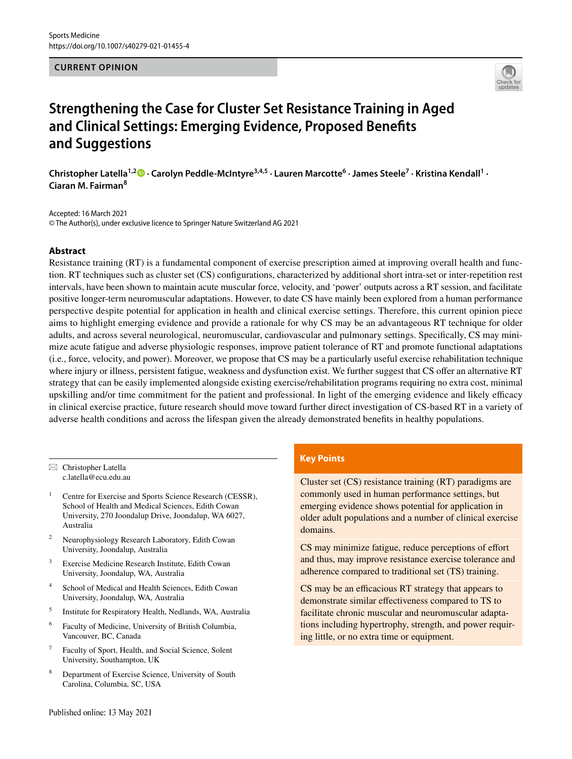### **CURRENT OPINION**



# **Strengthening the Case for Cluster Set Resistance Training in Aged and Clinical Settings: Emerging Evidence, Proposed Benefts and Suggestions**

ChristopherLatella<sup>1,2</sup><sup>®</sup> • Carolyn Peddle-McIntyre<sup>3,4,5</sup> • Lauren Marcotte<sup>6</sup> • James Steele<sup>7</sup> • Kristina Kendall<sup>1</sup> • **Ciaran M. Fairman<sup>8</sup>**

Accepted: 16 March 2021 © The Author(s), under exclusive licence to Springer Nature Switzerland AG 2021

## **Abstract**

Resistance training (RT) is a fundamental component of exercise prescription aimed at improving overall health and function. RT techniques such as cluster set (CS) confgurations, characterized by additional short intra-set or inter-repetition rest intervals, have been shown to maintain acute muscular force, velocity, and 'power' outputs across a RT session, and facilitate positive longer-term neuromuscular adaptations. However, to date CS have mainly been explored from a human performance perspective despite potential for application in health and clinical exercise settings. Therefore, this current opinion piece aims to highlight emerging evidence and provide a rationale for why CS may be an advantageous RT technique for older adults, and across several neurological, neuromuscular, cardiovascular and pulmonary settings. Specifcally, CS may minimize acute fatigue and adverse physiologic responses, improve patient tolerance of RT and promote functional adaptations (i.e., force, velocity, and power). Moreover, we propose that CS may be a particularly useful exercise rehabilitation technique where injury or illness, persistent fatigue, weakness and dysfunction exist. We further suggest that CS offer an alternative RT strategy that can be easily implemented alongside existing exercise/rehabilitation programs requiring no extra cost, minimal upskilling and/or time commitment for the patient and professional. In light of the emerging evidence and likely efficacy in clinical exercise practice, future research should move toward further direct investigation of CS-based RT in a variety of adverse health conditions and across the lifespan given the already demonstrated benefts in healthy populations.

 $\boxtimes$  Christopher Latella c.latella@ecu.edu.au

- Centre for Exercise and Sports Science Research (CESSR), School of Health and Medical Sciences, Edith Cowan University, 270 Joondalup Drive, Joondalup, WA 6027, Australia
- <sup>2</sup> Neurophysiology Research Laboratory, Edith Cowan University, Joondalup, Australia
- <sup>3</sup> Exercise Medicine Research Institute, Edith Cowan University, Joondalup, WA, Australia
- <sup>4</sup> School of Medical and Health Sciences, Edith Cowan University, Joondalup, WA, Australia
- <sup>5</sup> Institute for Respiratory Health, Nedlands, WA, Australia
- <sup>6</sup> Faculty of Medicine, University of British Columbia, Vancouver, BC, Canada
- <sup>7</sup> Faculty of Sport, Health, and Social Science, Solent University, Southampton, UK
- <sup>8</sup> Department of Exercise Science, University of South Carolina, Columbia, SC, USA

## **Key Points**

Cluster set (CS) resistance training (RT) paradigms are commonly used in human performance settings, but emerging evidence shows potential for application in older adult populations and a number of clinical exercise domains.

CS may minimize fatigue, reduce perceptions of effort and thus, may improve resistance exercise tolerance and adherence compared to traditional set (TS) training.

CS may be an efficacious RT strategy that appears to demonstrate similar efectiveness compared to TS to facilitate chronic muscular and neuromuscular adaptations including hypertrophy, strength, and power requiring little, or no extra time or equipment.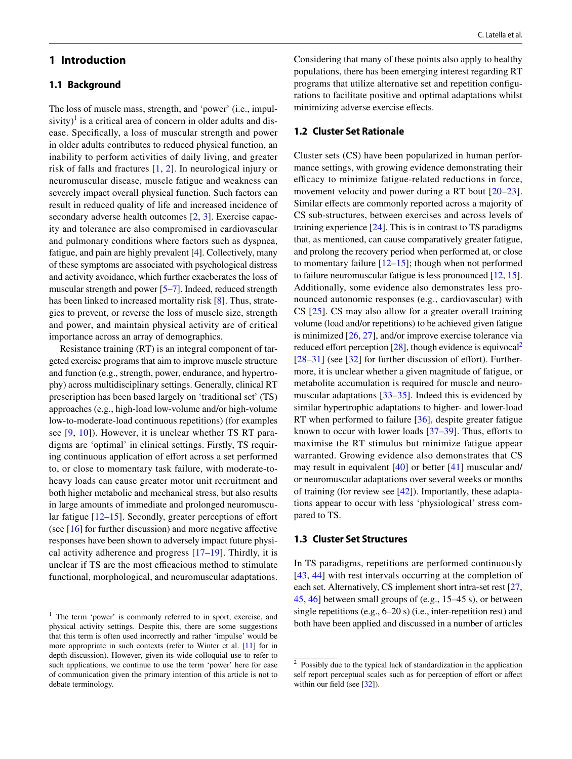# **1 Introduction**

## **1.1 Background**

The loss of muscle mass, strength, and 'power' (i.e., impul-sivity)<sup>[1](#page-1-0)</sup> is a critical area of concern in older adults and disease. Specifcally, a loss of muscular strength and power in older adults contributes to reduced physical function, an inability to perform activities of daily living, and greater risk of falls and fractures [[1](#page-11-0), [2\]](#page-11-1). In neurological injury or neuromuscular disease, muscle fatigue and weakness can severely impact overall physical function. Such factors can result in reduced quality of life and increased incidence of secondary adverse health outcomes [[2](#page-11-1), [3\]](#page-11-2). Exercise capacity and tolerance are also compromised in cardiovascular and pulmonary conditions where factors such as dyspnea, fatigue, and pain are highly prevalent [\[4](#page-11-3)]. Collectively, many of these symptoms are associated with psychological distress and activity avoidance, which further exacberates the loss of muscular strength and power [[5–](#page-11-4)[7](#page-11-5)]. Indeed, reduced strength has been linked to increased mortality risk [[8](#page-11-6)]. Thus, strategies to prevent, or reverse the loss of muscle size, strength and power, and maintain physical activity are of critical importance across an array of demographics.

Resistance training (RT) is an integral component of targeted exercise programs that aim to improve muscle structure and function (e.g., strength, power, endurance, and hypertrophy) across multidisciplinary settings. Generally, clinical RT prescription has been based largely on 'traditional set' (TS) approaches (e.g., high-load low-volume and/or high-volume low-to-moderate-load continuous repetitions) (for examples see [[9](#page-11-7), [10](#page-11-8)]). However, it is unclear whether TS RT paradigms are 'optimal' in clinical settings. Firstly, TS requiring continuous application of effort across a set performed to, or close to momentary task failure, with moderate-toheavy loads can cause greater motor unit recruitment and both higher metabolic and mechanical stress, but also results in large amounts of immediate and prolonged neuromuscular fatigue  $[12-15]$  $[12-15]$  $[12-15]$ . Secondly, greater perceptions of effort (see  $[16]$  $[16]$  for further discussion) and more negative affective responses have been shown to adversely impact future physical activity adherence and progress  $[17–19]$  $[17–19]$  $[17–19]$ . Thirdly, it is unclear if TS are the most efficacious method to stimulate functional, morphological, and neuromuscular adaptations.

Considering that many of these points also apply to healthy populations, there has been emerging interest regarding RT programs that utilize alternative set and repetition confgurations to facilitate positive and optimal adaptations whilst minimizing adverse exercise efects.

## **1.2 Cluster Set Rationale**

Cluster sets (CS) have been popularized in human performance settings, with growing evidence demonstrating their efficacy to minimize fatigue-related reductions in force, movement velocity and power during a RT bout [[20–](#page-11-14)[23](#page-11-15)]. Similar effects are commonly reported across a majority of CS sub-structures, between exercises and across levels of training experience  $[24]$  $[24]$ . This is in contrast to TS paradigms that, as mentioned, can cause comparatively greater fatigue, and prolong the recovery period when performed at, or close to momentary failure [[12–](#page-11-9)[15\]](#page-11-10); though when not performed to failure neuromuscular fatigue is less pronounced [[12,](#page-11-9) [15](#page-11-10)]. Additionally, some evidence also demonstrates less pronounced autonomic responses (e.g., cardiovascular) with CS [\[25\]](#page-11-17). CS may also allow for a greater overall training volume (load and/or repetitions) to be achieved given fatigue is minimized [\[26](#page-11-18), [27](#page-11-19)], and/or improve exercise tolerance via reduced effort perception  $[28]$ , though evidence is equivocal<sup>[2](#page-1-1)</sup> [[28–](#page-12-0)[31\]](#page-12-1) (see [\[32](#page-12-2)] for further discussion of effort). Furthermore, it is unclear whether a given magnitude of fatigue, or metabolite accumulation is required for muscle and neuromuscular adaptations [[33–](#page-12-3)[35](#page-12-4)]. Indeed this is evidenced by similar hypertrophic adaptations to higher- and lower-load RT when performed to failure [[36\]](#page-12-5), despite greater fatigue known to occur with lower loads  $[37-39]$  $[37-39]$ . Thus, efforts to maximise the RT stimulus but minimize fatigue appear warranted. Growing evidence also demonstrates that CS may result in equivalent [[40](#page-12-8)] or better [[41\]](#page-12-9) muscular and/ or neuromuscular adaptations over several weeks or months of training (for review see [[42\]](#page-12-10)). Importantly, these adaptations appear to occur with less 'physiological' stress compared to TS.

## **1.3 Cluster Set Structures**

In TS paradigms, repetitions are performed continuously [[43,](#page-12-11) [44](#page-12-12)] with rest intervals occurring at the completion of each set. Alternatively, CS implement short intra-set rest [[27,](#page-11-19) [45](#page-12-13), [46](#page-12-14)] between small groups of (e.g., 15–45 s), or between single repetitions (e.g., 6–20 s) (i.e., inter-repetition rest) and both have been applied and discussed in a number of articles

<span id="page-1-0"></span><sup>&</sup>lt;sup>1</sup> The term 'power' is commonly referred to in sport, exercise, and physical activity settings. Despite this, there are some suggestions that this term is often used incorrectly and rather 'impulse' would be more appropriate in such contexts (refer to Winter et al. [\[11\]](#page-11-20) for in depth discussion). However, given its wide colloquial use to refer to such applications, we continue to use the term 'power' here for ease of communication given the primary intention of this article is not to debate terminology.

<span id="page-1-1"></span><sup>2</sup> Possibly due to the typical lack of standardization in the application self report perceptual scales such as for perception of effort or affect within our field (see  $[32]$ ).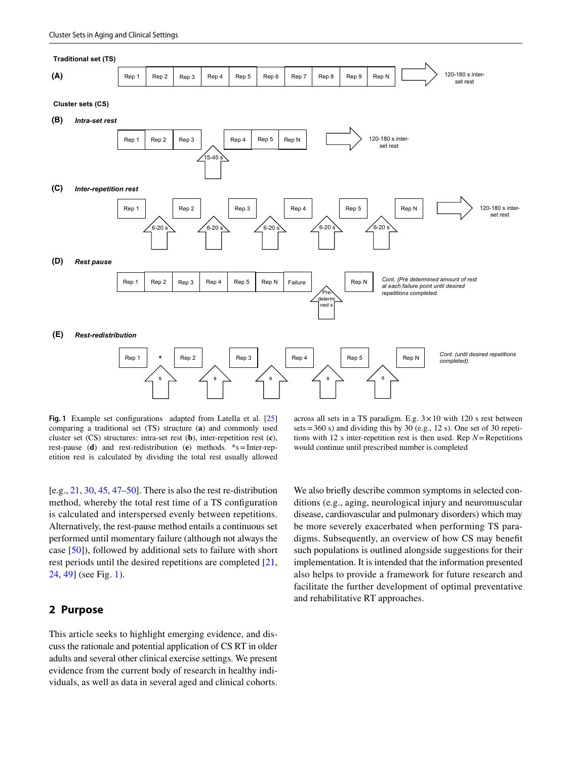

<span id="page-2-0"></span>**Fig. 1** Example set confgurations adapted from Latella et al. [[25](#page-11-17)] comparing a traditional set (TS) structure (**a**) and commonly used cluster set (CS) structures: intra-set rest (**b**), inter-repetition rest (**c**), rest-pause (**d**) and rest-redistribution (**e**) methods. \*s=Inter-repetition rest is calculated by dividing the total rest usually allowed

 $[e.g., 21, 30, 45, 47–50]$  $[e.g., 21, 30, 45, 47–50]$  $[e.g., 21, 30, 45, 47–50]$  $[e.g., 21, 30, 45, 47–50]$  $[e.g., 21, 30, 45, 47–50]$  $[e.g., 21, 30, 45, 47–50]$  $[e.g., 21, 30, 45, 47–50]$  $[e.g., 21, 30, 45, 47–50]$ . There is also the rest re-distribution method, whereby the total rest time of a TS confguration is calculated and interspersed evenly between repetitions. Alternatively, the rest-pause method entails a continuous set performed until momentary failure (although not always the case [[50\]](#page-12-17)), followed by additional sets to failure with short rest periods until the desired repetitions are completed [[21,](#page-11-21) [24](#page-11-16), [49](#page-12-18)] (see Fig. [1](#page-2-0)).

# **2 Purpose**

This article seeks to highlight emerging evidence, and discuss the rationale and potential application of CS RT in older adults and several other clinical exercise settings. We present evidence from the current body of research in healthy individuals, as well as data in several aged and clinical cohorts.

across all sets in a TS paradigm. E.g.  $3 \times 10$  with 120 s rest between sets =  $360$  s) and dividing this by  $30$  (e.g., 12 s). One set of  $30$  repetitions with 12 s inter-repetition rest is then used. Rep  $N =$  Repetitions would continue until prescribed number is completed

We also briefy describe common symptoms in selected conditions (e.g., aging, neurological injury and neuromuscular disease, cardiovascular and pulmonary disorders) which may be more severely exacerbated when performing TS paradigms. Subsequently, an overview of how CS may beneft such populations is outlined alongside suggestions for their implementation. It is intended that the information presented also helps to provide a framework for future research and facilitate the further development of optimal preventative and rehabilitative RT approaches.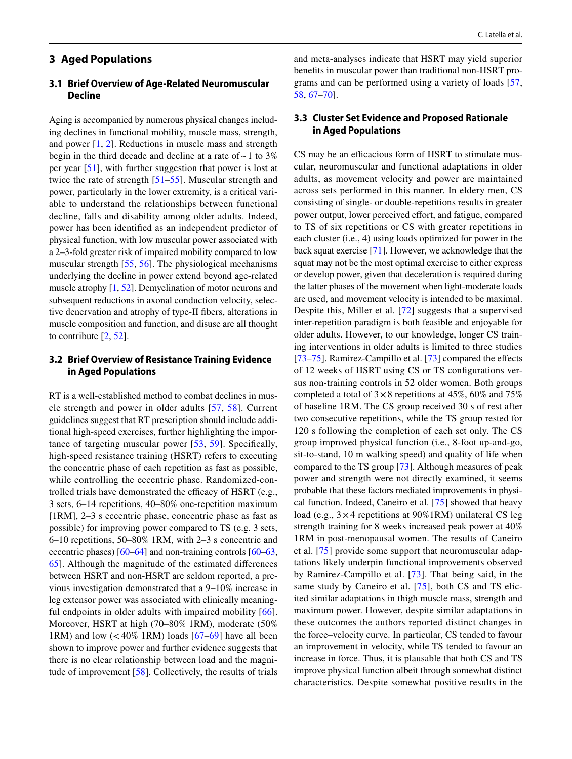# **3 Aged Populations**

# **3.1 Brief Overview of Age‑Related Neuromuscular Decline**

Aging is accompanied by numerous physical changes including declines in functional mobility, muscle mass, strength, and power [[1,](#page-11-0) [2\]](#page-11-1). Reductions in muscle mass and strength begin in the third decade and decline at a rate of  $\sim$  1 to 3% per year [[51\]](#page-12-19), with further suggestion that power is lost at twice the rate of strength [[51–](#page-12-19)[55](#page-12-20)]. Muscular strength and power, particularly in the lower extremity, is a critical variable to understand the relationships between functional decline, falls and disability among older adults. Indeed, power has been identifed as an independent predictor of physical function, with low muscular power associated with a 2–3-fold greater risk of impaired mobility compared to low muscular strength [[55,](#page-12-20) [56](#page-12-21)]. The physiological mechanisms underlying the decline in power extend beyond age-related muscle atrophy [[1,](#page-11-0) [52](#page-12-22)]. Demyelination of motor neurons and subsequent reductions in axonal conduction velocity, selective denervation and atrophy of type-II fbers, alterations in muscle composition and function, and disuse are all thought to contribute [\[2](#page-11-1), [52](#page-12-22)].

# **3.2 Brief Overview of Resistance Training Evidence in Aged Populations**

RT is a well-established method to combat declines in muscle strength and power in older adults [\[57,](#page-12-23) [58](#page-12-24)]. Current guidelines suggest that RT prescription should include additional high-speed exercises, further highlighting the importance of targeting muscular power [[53](#page-12-25), [59\]](#page-12-26). Specifcally, high-speed resistance training (HSRT) refers to executing the concentric phase of each repetition as fast as possible, while controlling the eccentric phase. Randomized-controlled trials have demonstrated the efficacy of HSRT (e.g., 3 sets, 6–14 repetitions, 40–80% one-repetition maximum [1RM], 2–3 s eccentric phase, concentric phase as fast as possible) for improving power compared to TS (e.g. 3 sets, 6–10 repetitions, 50–80% 1RM, with 2–3 s concentric and eccentric phases) [\[60](#page-12-27)[–64](#page-12-28)] and non-training controls [[60–](#page-12-27)[63,](#page-12-29) [65](#page-13-0)]. Although the magnitude of the estimated diferences between HSRT and non-HSRT are seldom reported, a previous investigation demonstrated that a 9–10% increase in leg extensor power was associated with clinically meaning-ful endpoints in older adults with impaired mobility [[66](#page-13-1)]. Moreover, HSRT at high (70–80% 1RM), moderate (50% 1RM) and low  $(< 40\%$  1RM) loads  $[67-69]$  $[67-69]$  $[67-69]$  have all been shown to improve power and further evidence suggests that there is no clear relationship between load and the magnitude of improvement [\[58](#page-12-24)]. Collectively, the results of trials and meta-analyses indicate that HSRT may yield superior benefts in muscular power than traditional non-HSRT programs and can be performed using a variety of loads [\[57,](#page-12-23) [58](#page-12-24), [67](#page-13-2)[–70](#page-13-4)].

## **3.3 Cluster Set Evidence and Proposed Rationale in Aged Populations**

CS may be an efficacious form of HSRT to stimulate muscular, neuromuscular and functional adaptations in older adults, as movement velocity and power are maintained across sets performed in this manner. In eldery men, CS consisting of single- or double-repetitions results in greater power output, lower perceived effort, and fatigue, compared to TS of six repetitions or CS with greater repetitions in each cluster (i.e., 4) using loads optimized for power in the back squat exercise [\[71](#page-13-5)]. However, we acknowledge that the squat may not be the most optimal exercise to either express or develop power, given that deceleration is required during the latter phases of the movement when light-moderate loads are used, and movement velocity is intended to be maximal. Despite this, Miller et al. [\[72\]](#page-13-6) suggests that a supervised inter-repetition paradigm is both feasible and enjoyable for older adults. However, to our knowledge, longer CS training interventions in older adults is limited to three studies [[73–](#page-13-7)[75\]](#page-13-8). Ramirez-Campillo et al. [\[73\]](#page-13-7) compared the effects of 12 weeks of HSRT using CS or TS confgurations versus non-training controls in 52 older women. Both groups completed a total of  $3 \times 8$  repetitions at 45%, 60% and 75% of baseline 1RM. The CS group received 30 s of rest after two consecutive repetitions, while the TS group rested for 120 s following the completion of each set only. The CS group improved physical function (i.e., 8-foot up-and-go, sit-to-stand, 10 m walking speed) and quality of life when compared to the TS group [\[73](#page-13-7)]. Although measures of peak power and strength were not directly examined, it seems probable that these factors mediated improvements in physical function. Indeed, Caneiro et al. [\[75](#page-13-8)] showed that heavy load (e.g., 3×4 repetitions at 90%1RM) unilateral CS leg strength training for 8 weeks increased peak power at 40% 1RM in post-menopausal women. The results of Caneiro et al. [\[75\]](#page-13-8) provide some support that neuromuscular adaptations likely underpin functional improvements observed by Ramirez-Campillo et al. [\[73\]](#page-13-7). That being said, in the same study by Caneiro et al. [\[75\]](#page-13-8), both CS and TS elicited similar adaptations in thigh muscle mass, strength and maximum power. However, despite similar adaptations in these outcomes the authors reported distinct changes in the force–velocity curve. In particular, CS tended to favour an improvement in velocity, while TS tended to favour an increase in force. Thus, it is plausable that both CS and TS improve physical function albeit through somewhat distinct characteristics. Despite somewhat positive results in the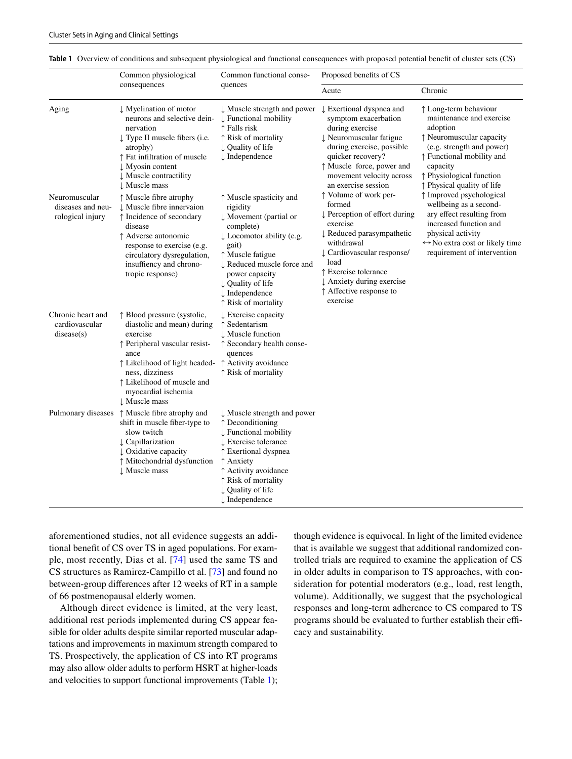<span id="page-4-0"></span>

|  |  | Table 1 Overview of conditions and subsequent physiological and functional consequences with proposed potential benefit of cluster sets (CS) |  |  |  |
|--|--|----------------------------------------------------------------------------------------------------------------------------------------------|--|--|--|
|--|--|----------------------------------------------------------------------------------------------------------------------------------------------|--|--|--|

|                                                        | Common physiological<br>consequences                                                                                                                                                                                                     | Common functional conse-                                                                                                                                                                                                                                                 | Proposed benefits of CS                                                                                                                                                                                                                                              |                                                                                                                                                                                                                           |  |
|--------------------------------------------------------|------------------------------------------------------------------------------------------------------------------------------------------------------------------------------------------------------------------------------------------|--------------------------------------------------------------------------------------------------------------------------------------------------------------------------------------------------------------------------------------------------------------------------|----------------------------------------------------------------------------------------------------------------------------------------------------------------------------------------------------------------------------------------------------------------------|---------------------------------------------------------------------------------------------------------------------------------------------------------------------------------------------------------------------------|--|
|                                                        |                                                                                                                                                                                                                                          | quences                                                                                                                                                                                                                                                                  | Acute                                                                                                                                                                                                                                                                | Chronic                                                                                                                                                                                                                   |  |
| Aging                                                  | ↓ Myelination of motor<br>neurons and selective dein-<br>nervation<br>↓ Type II muscle fibers (i.e.<br>atrophy)<br>↑ Fat infiltration of muscle<br>↓ Myosin content<br><b>J</b> Muscle contractility<br>L Muscle mass                    | ↓ Muscle strength and power<br><b>L</b> Functional mobility<br>↑ Falls risk<br>↑ Risk of mortality<br>↓ Quality of life<br>$\downarrow$ Independence                                                                                                                     | $\downarrow$ Exertional dyspnea and<br>symptom exacerbation<br>during exercise<br>↓ Neuromuscular fatigue<br>during exercise, possible<br>quicker recovery?<br>↑ Muscle force, power and<br>movement velocity across<br>an exercise session                          | ↑ Long-term behaviour<br>maintenance and exercise<br>adoption<br>↑ Neuromuscular capacity<br>(e.g. strength and power)<br>↑ Functional mobility and<br>capacity<br>↑ Physiological function<br>↑ Physical quality of life |  |
| Neuromuscular<br>diseases and neu-<br>rological injury | ↑ Muscle fibre atrophy<br>↓ Muscle fibre innervaion<br>↑ Incidence of secondary<br>disease<br>↑ Adverse autonomic<br>response to exercise (e.g.<br>circulatory dysregulation,<br>insuffiency and chrono-<br>tropic response)             | ↑ Muscle spasticity and<br>rigidity<br>$\downarrow$ Movement (partial or<br>complete)<br>↓ Locomotor ability (e.g.<br>gait)<br>↑ Muscle fatigue<br>↓ Reduced muscle force and<br>power capacity<br>↓ Quality of life<br>$\downarrow$ Independence<br>↑ Risk of mortality | ↑ Volume of work per-<br>formed<br>↓ Perception of effort during<br>exercise<br>↓ Reduced parasympathetic<br>withdrawal<br>↓ Cardiovascular response/<br>load<br>↑ Exercise tolerance<br>$\downarrow$ Anxiety during exercise<br>↑ Affective response to<br>exercise | ↑ Improved psychological<br>wellbeing as a second-<br>ary effect resulting from<br>increased function and<br>physical activity<br>$\leftrightarrow$ No extra cost or likely time<br>requirement of intervention           |  |
| Chronic heart and<br>cardiovascular<br>disease(s)      | ↑ Blood pressure (systolic,<br>diastolic and mean) during<br>exercise<br>↑ Peripheral vascular resist-<br>ance<br>↑ Likelihood of light headed-<br>ness, dizziness<br>↑ Likelihood of muscle and<br>myocardial ischemia<br>↓ Muscle mass | L Exercise capacity<br>↑ Sedentarism<br>↓ Muscle function<br>↑ Secondary health conse-<br>quences<br>↑ Activity avoidance<br>↑ Risk of mortality                                                                                                                         |                                                                                                                                                                                                                                                                      |                                                                                                                                                                                                                           |  |
| Pulmonary diseases                                     | ↑ Muscle fibre atrophy and<br>shift in muscle fiber-type to<br>slow twitch<br>L Capillarization<br>U Oxidative capacity<br>↑ Mitochondrial dysfunction<br>↓ Muscle mass                                                                  | ↓ Muscle strength and power<br>↑ Deconditioning<br><b>L</b> Functional mobility<br>L Exercise tolerance<br>↑ Exertional dyspnea<br>↑ Anxiety<br>↑ Activity avoidance<br>↑ Risk of mortality<br>↓ Quality of life<br>$\downarrow$ Independence                            |                                                                                                                                                                                                                                                                      |                                                                                                                                                                                                                           |  |

aforementioned studies, not all evidence suggests an additional beneft of CS over TS in aged populations. For example, most recently, Dias et al. [\[74\]](#page-13-9) used the same TS and CS structures as Ramirez-Campillo et al. [[73\]](#page-13-7) and found no between-group diferences after 12 weeks of RT in a sample of 66 postmenopausal elderly women.

Although direct evidence is limited, at the very least, additional rest periods implemented during CS appear feasible for older adults despite similar reported muscular adaptations and improvements in maximum strength compared to TS. Prospectively, the application of CS into RT programs may also allow older adults to perform HSRT at higher-loads and velocities to support functional improvements (Table [1](#page-4-0)); though evidence is equivocal. In light of the limited evidence that is available we suggest that additional randomized controlled trials are required to examine the application of CS in older adults in comparison to TS approaches, with consideration for potential moderators (e.g., load, rest length, volume). Additionally, we suggest that the psychological responses and long-term adherence to CS compared to TS programs should be evaluated to further establish their efficacy and sustainability.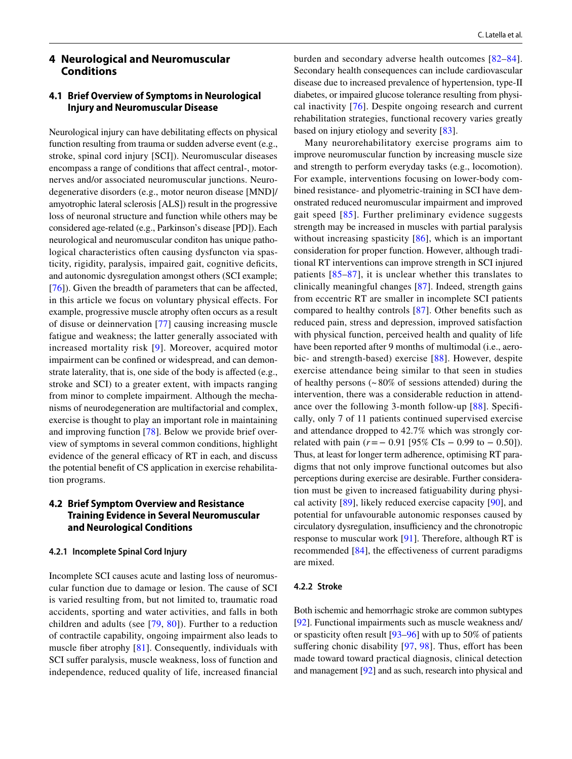# **4 Neurological and Neuromuscular Conditions**

## **4.1 Brief Overview of Symptoms in Neurological Injury and Neuromuscular Disease**

Neurological injury can have debilitating effects on physical function resulting from trauma or sudden adverse event (e.g., stroke, spinal cord injury [SCI]). Neuromuscular diseases encompass a range of conditions that afect central-, motornerves and/or associated neuromuscular junctions. Neurodegenerative disorders (e.g., motor neuron disease [MND]/ amyotrophic lateral sclerosis [ALS]) result in the progressive loss of neuronal structure and function while others may be considered age-related (e.g., Parkinson's disease [PD]). Each neurological and neuromuscular conditon has unique pathological characteristics often causing dysfuncton via spasticity, rigidity, paralysis, impaired gait, cognitive defcits, and autonomic dysregulation amongst others (SCI example; [\[76\]](#page-13-10)). Given the breadth of parameters that can be affected, in this article we focus on voluntary physical efects. For example, progressive muscle atrophy often occurs as a result of disuse or deinnervation [[77](#page-13-11)] causing increasing muscle fatigue and weakness; the latter generally associated with increased mortality risk [[9\]](#page-11-7). Moreover, acquired motor impairment can be confned or widespread, and can demonstrate laterality, that is, one side of the body is afected (e.g., stroke and SCI) to a greater extent, with impacts ranging from minor to complete impairment. Although the mechanisms of neurodegeneration are multifactorial and complex, exercise is thought to play an important role in maintaining and improving function [\[78](#page-13-12)]. Below we provide brief overview of symptoms in several common conditions, highlight evidence of the general efficacy of RT in each, and discuss the potential beneft of CS application in exercise rehabilitation programs.

# **4.2 Brief Symptom Overview and Resistance Training Evidence in Several Neuromuscular and Neurological Conditions**

## **4.2.1 Incomplete Spinal Cord Injury**

Incomplete SCI causes acute and lasting loss of neuromuscular function due to damage or lesion. The cause of SCI is varied resulting from, but not limited to, traumatic road accidents, sporting and water activities, and falls in both children and adults (see [[79](#page-13-13), [80](#page-13-14)]). Further to a reduction of contractile capability, ongoing impairment also leads to muscle fber atrophy [[81](#page-13-15)]. Consequently, individuals with SCI suffer paralysis, muscle weakness, loss of function and independence, reduced quality of life, increased fnancial burden and secondary adverse health outcomes [[82–](#page-13-16)[84](#page-13-17)]. Secondary health consequences can include cardiovascular disease due to increased prevalence of hypertension, type-II diabetes, or impaired glucose tolerance resulting from physical inactivity [[76\]](#page-13-10). Despite ongoing research and current rehabilitation strategies, functional recovery varies greatly based on injury etiology and severity [\[83](#page-13-18)].

Many neurorehabilitatory exercise programs aim to improve neuromuscular function by increasing muscle size and strength to perform everyday tasks (e.g., locomotion). For example, interventions focusing on lower-body combined resistance- and plyometric-training in SCI have demonstrated reduced neuromuscular impairment and improved gait speed [\[85](#page-13-19)]. Further preliminary evidence suggests strength may be increased in muscles with partial paralysis without increasing spasticity [[86](#page-13-20)], which is an important consideration for proper function. However, although traditional RT interventions can improve strength in SCI injured patients [[85–](#page-13-19)[87](#page-13-21)], it is unclear whether this translates to clinically meaningful changes [[87](#page-13-21)]. Indeed, strength gains from eccentric RT are smaller in incomplete SCI patients compared to healthy controls [\[87\]](#page-13-21). Other benefts such as reduced pain, stress and depression, improved satisfaction with physical function, perceived health and quality of life have been reported after 9 months of multimodal (i.e., aerobic- and strength-based) exercise [\[88\]](#page-13-22). However, despite exercise attendance being similar to that seen in studies of healthy persons (~ 80% of sessions attended) during the intervention, there was a considerable reduction in attendance over the following 3-month follow-up [[88](#page-13-22)]. Specifcally, only 7 of 11 patients continued supervised exercise and attendance dropped to 42.7% which was strongly correlated with pain (*r*=− 0.91 [95% CIs − 0.99 to − 0.50]). Thus, at least for longer term adherence, optimising RT paradigms that not only improve functional outcomes but also perceptions during exercise are desirable. Further consideration must be given to increased fatiguability during physical activity [\[89](#page-13-23)], likely reduced exercise capacity [[90](#page-13-24)], and potential for unfavourable autonomic responses caused by circulatory dysregulation, insufficiency and the chronotropic response to muscular work [[91\]](#page-13-25). Therefore, although RT is recommended  $[84]$  $[84]$ , the effectiveness of current paradigms are mixed.

#### **4.2.2 Stroke**

Both ischemic and hemorrhagic stroke are common subtypes [\[92](#page-13-26)]. Functional impairments such as muscle weakness and/ or spasticity often result [[93–](#page-13-27)[96\]](#page-13-28) with up to 50% of patients suffering chonic disability  $[97, 98]$  $[97, 98]$  $[97, 98]$  $[97, 98]$ . Thus, effort has been made toward toward practical diagnosis, clinical detection and management [\[92](#page-13-26)] and as such, research into physical and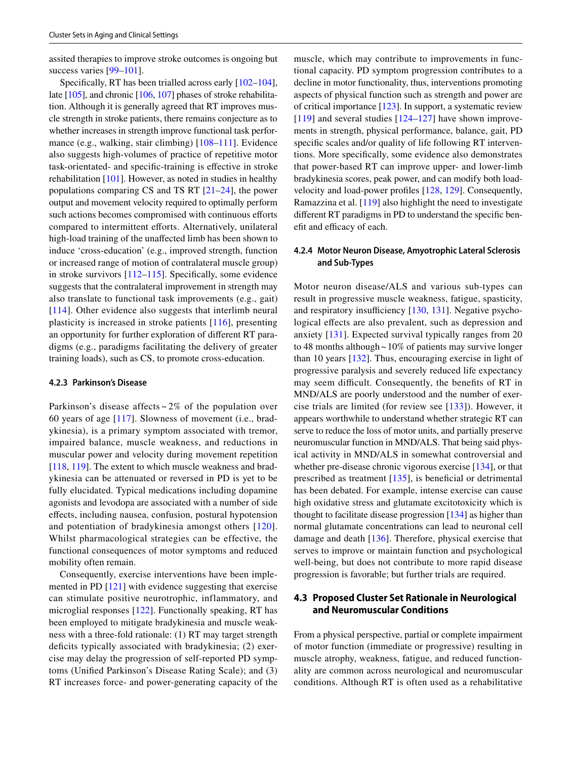assited therapies to improve stroke outcomes is ongoing but success varies [[99–](#page-13-31)[101](#page-14-0)].

Specifcally, RT has been trialled across early [\[102](#page-14-1)[–104](#page-14-2)], late [[105](#page-14-3)], and chronic [\[106](#page-14-4), [107\]](#page-14-5) phases of stroke rehabilitation. Although it is generally agreed that RT improves muscle strength in stroke patients, there remains conjecture as to whether increases in strength improve functional task perfor-mance (e.g., walking, stair climbing) [\[108–](#page-14-6)[111\]](#page-14-7). Evidence also suggests high-volumes of practice of repetitive motor task-orientated- and specifc-training is efective in stroke rehabilitation [\[101](#page-14-0)]. However, as noted in studies in healthy populations comparing CS and TS RT [\[21–](#page-11-21)[24\]](#page-11-16), the power output and movement velocity required to optimally perform such actions becomes compromised with continuous efforts compared to intermittent efforts. Alternatively, unilateral high-load training of the unafected limb has been shown to induce 'cross-education' (e.g., improved strength, function or increased range of motion of contralateral muscle group) in stroke survivors [[112–](#page-14-8)[115](#page-14-9)]. Specifcally, some evidence suggests that the contralateral improvement in strength may also translate to functional task improvements (e.g., gait) [[114\]](#page-14-10). Other evidence also suggests that interlimb neural plasticity is increased in stroke patients [[116](#page-14-11)], presenting an opportunity for further exploration of diferent RT paradigms (e.g., paradigms facilitating the delivery of greater training loads), such as CS, to promote cross-education.

#### **4.2.3 Parkinson's Disease**

Parkinson's disease affects  $\sim$  2% of the population over 60 years of age [\[117\]](#page-14-12). Slowness of movement (i.e., bradykinesia), is a primary symptom associated with tremor, impaired balance, muscle weakness, and reductions in muscular power and velocity during movement repetition [\[118,](#page-14-13) [119](#page-14-14)]. The extent to which muscle weakness and bradykinesia can be attenuated or reversed in PD is yet to be fully elucidated. Typical medications including dopamine agonists and levodopa are associated with a number of side efects, including nausea, confusion, postural hypotension and potentiation of bradykinesia amongst others [\[120](#page-14-15)]. Whilst pharmacological strategies can be effective, the functional consequences of motor symptoms and reduced mobility often remain.

Consequently, exercise interventions have been implemented in PD [[121\]](#page-14-16) with evidence suggesting that exercise can stimulate positive neurotrophic, inflammatory, and microglial responses [[122](#page-14-17)]. Functionally speaking, RT has been employed to mitigate bradykinesia and muscle weakness with a three-fold rationale: (1) RT may target strength deficits typically associated with bradykinesia; (2) exercise may delay the progression of self-reported PD symptoms (Unifed Parkinson's Disease Rating Scale); and (3) RT increases force- and power-generating capacity of the muscle, which may contribute to improvements in functional capacity. PD symptom progression contributes to a decline in motor functionality, thus, interventions promoting aspects of physical function such as strength and power are of critical importance [[123\]](#page-14-18). In support, a systematic review  $[119]$  $[119]$  and several studies  $[124–127]$  $[124–127]$  $[124–127]$  $[124–127]$  have shown improvements in strength, physical performance, balance, gait, PD specifc scales and/or quality of life following RT interventions. More specifcally, some evidence also demonstrates that power-based RT can improve upper- and lower-limb bradykinesia scores, peak power, and can modify both loadvelocity and load-power profles [[128](#page-14-21), [129](#page-14-22)]. Consequently, Ramazzina et al. [[119\]](#page-14-14) also highlight the need to investigate diferent RT paradigms in PD to understand the specifc benefit and efficacy of each.

## **4.2.4 Motor Neuron Disease, Amyotrophic Lateral Sclerosis and Sub‑Types**

Motor neuron disease/ALS and various sub-types can result in progressive muscle weakness, fatigue, spasticity, and respiratory insufficiency  $[130, 131]$  $[130, 131]$  $[130, 131]$ . Negative psychological effects are also prevalent, such as depression and anxiety [[131\]](#page-14-24). Expected survival typically ranges from 20 to 48 months although~10% of patients may survive longer than 10 years [\[132\]](#page-14-25). Thus, encouraging exercise in light of progressive paralysis and severely reduced life expectancy may seem difficult. Consequently, the benefits of RT in MND/ALS are poorly understood and the number of exercise trials are limited (for review see [[133](#page-14-26)]). However, it appears worthwhile to understand whether strategic RT can serve to reduce the loss of motor units, and partially preserve neuromuscular function in MND/ALS. That being said physical activity in MND/ALS in somewhat controversial and whether pre-disease chronic vigorous exercise [\[134](#page-14-27)], or that prescribed as treatment  $[135]$  $[135]$  $[135]$ , is beneficial or detrimental has been debated. For example, intense exercise can cause high oxidative stress and glutamate excitotoxicity which is thought to facilitate disease progression [\[134](#page-14-27)] as higher than normal glutamate concentrations can lead to neuronal cell damage and death [[136\]](#page-15-0). Therefore, physical exercise that serves to improve or maintain function and psychological well-being, but does not contribute to more rapid disease progression is favorable; but further trials are required.

# **4.3 Proposed Cluster Set Rationale in Neurological and Neuromuscular Conditions**

From a physical perspective, partial or complete impairment of motor function (immediate or progressive) resulting in muscle atrophy, weakness, fatigue, and reduced functionality are common across neurological and neuromuscular conditions. Although RT is often used as a rehabilitative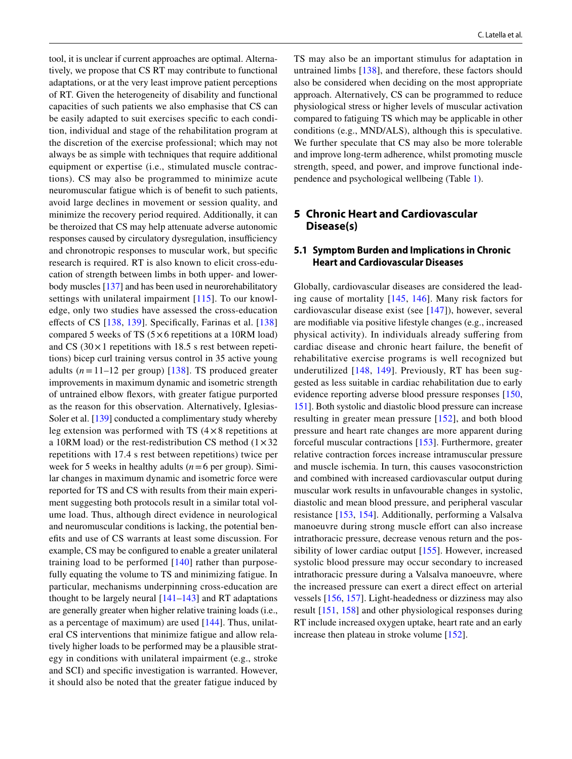tool, it is unclear if current approaches are optimal. Alternatively, we propose that CS RT may contribute to functional adaptations, or at the very least improve patient perceptions of RT. Given the heterogeneity of disability and functional capacities of such patients we also emphasise that CS can be easily adapted to suit exercises specifc to each condition, individual and stage of the rehabilitation program at the discretion of the exercise professional; which may not always be as simple with techniques that require additional equipment or expertise (i.e., stimulated muscle contractions). CS may also be programmed to minimize acute neuromuscular fatigue which is of beneft to such patients, avoid large declines in movement or session quality, and minimize the recovery period required. Additionally, it can be theroized that CS may help attenuate adverse autonomic responses caused by circulatory dysregulation, insufficiency and chronotropic responses to muscular work, but specifc research is required. RT is also known to elicit cross-education of strength between limbs in both upper- and lowerbody muscles [\[137](#page-15-1)] and has been used in neurorehabilitatory settings with unilateral impairment [[115](#page-14-9)]. To our knowledge, only two studies have assessed the cross-education effects of CS [\[138,](#page-15-2) [139\]](#page-15-3). Specifically, Farinas et al. [\[138\]](#page-15-2) compared 5 weeks of TS  $(5 \times 6$  repetitions at a 10RM load) and CS  $(30 \times 1)$  repetitions with 18.5 s rest between repetitions) bicep curl training versus control in 35 active young adults  $(n=11-12$  per group) [[138\]](#page-15-2). TS produced greater improvements in maximum dynamic and isometric strength of untrained elbow fexors, with greater fatigue purported as the reason for this observation. Alternatively, Iglesias-Soler et al. [[139\]](#page-15-3) conducted a complimentary study whereby leg extension was performed with TS  $(4 \times 8$  repetitions at a 10RM load) or the rest-redistribution CS method  $(1 \times 32)$ repetitions with 17.4 s rest between repetitions) twice per week for 5 weeks in healthy adults ( $n=6$  per group). Similar changes in maximum dynamic and isometric force were reported for TS and CS with results from their main experiment suggesting both protocols result in a similar total volume load. Thus, although direct evidence in neurological and neuromuscular conditions is lacking, the potential benefts and use of CS warrants at least some discussion. For example, CS may be confgured to enable a greater unilateral training load to be performed [[140](#page-15-4)] rather than purposefully equating the volume to TS and minimizing fatigue. In particular, mechanisms underpinning cross-education are thought to be largely neural  $[141–143]$  $[141–143]$  $[141–143]$  $[141–143]$  and RT adaptations are generally greater when higher relative training loads (i.e., as a percentage of maximum) are used [[144\]](#page-15-7). Thus, unilateral CS interventions that minimize fatigue and allow relatively higher loads to be performed may be a plausible strategy in conditions with unilateral impairment (e.g., stroke and SCI) and specifc investigation is warranted. However, it should also be noted that the greater fatigue induced by TS may also be an important stimulus for adaptation in untrained limbs [\[138\]](#page-15-2), and therefore, these factors should also be considered when deciding on the most appropriate approach. Alternatively, CS can be programmed to reduce physiological stress or higher levels of muscular activation compared to fatiguing TS which may be applicable in other conditions (e.g., MND/ALS), although this is speculative. We further speculate that CS may also be more tolerable and improve long-term adherence, whilst promoting muscle strength, speed, and power, and improve functional independence and psychological wellbeing (Table [1\)](#page-4-0).

# **5 Chronic Heart and Cardiovascular Disease(s)**

## **5.1 Symptom Burden and Implications in Chronic Heart and Cardiovascular Diseases**

Globally, cardiovascular diseases are considered the leading cause of mortality [\[145,](#page-15-8) [146\]](#page-15-9). Many risk factors for cardiovascular disease exist (see [\[147](#page-15-10)]), however, several are modifable via positive lifestyle changes (e.g., increased physical activity). In individuals already sufering from cardiac disease and chronic heart failure, the beneft of rehabilitative exercise programs is well recognized but underutilized [[148](#page-15-11), [149\]](#page-15-12). Previously, RT has been suggested as less suitable in cardiac rehabilitation due to early evidence reporting adverse blood pressure responses [[150,](#page-15-13) [151](#page-15-14)]. Both systolic and diastolic blood pressure can increase resulting in greater mean pressure [[152\]](#page-15-15), and both blood pressure and heart rate changes are more apparent during forceful muscular contractions [[153](#page-15-16)]. Furthermore, greater relative contraction forces increase intramuscular pressure and muscle ischemia. In turn, this causes vasoconstriction and combined with increased cardiovascular output during muscular work results in unfavourable changes in systolic, diastolic and mean blood pressure, and peripheral vascular resistance [[153,](#page-15-16) [154\]](#page-15-17). Additionally, performing a Valsalva manoeuvre during strong muscle effort can also increase intrathoracic pressure, decrease venous return and the possibility of lower cardiac output [[155](#page-15-18)]. However, increased systolic blood pressure may occur secondary to increased intrathoracic pressure during a Valsalva manoeuvre, where the increased pressure can exert a direct efect on arterial vessels [\[156,](#page-15-19) [157\]](#page-15-20). Light-headedness or dizziness may also result [[151](#page-15-14), [158\]](#page-15-21) and other physiological responses during RT include increased oxygen uptake, heart rate and an early increase then plateau in stroke volume [\[152](#page-15-15)].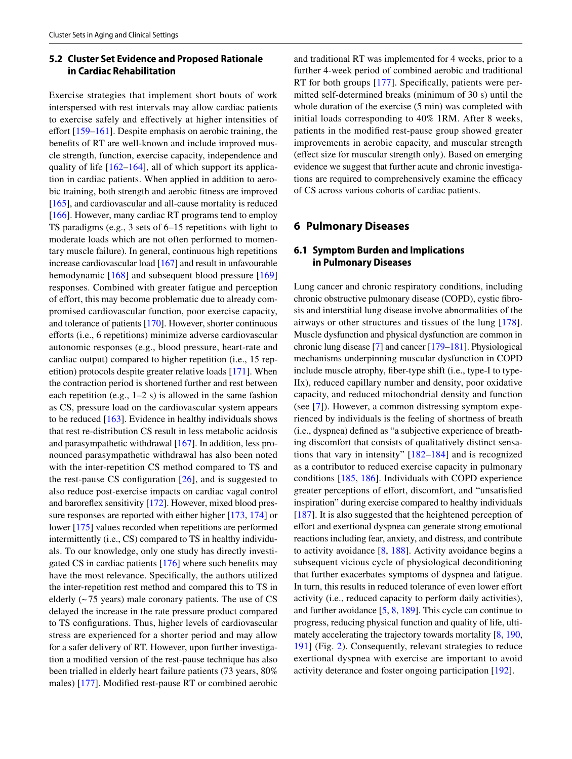# **5.2 Cluster Set Evidence and Proposed Rationale in Cardiac Rehabilitation**

Exercise strategies that implement short bouts of work interspersed with rest intervals may allow cardiac patients to exercise safely and efectively at higher intensities of effort [[159](#page-15-22)[–161](#page-15-23)]. Despite emphasis on aerobic training, the benefts of RT are well-known and include improved muscle strength, function, exercise capacity, independence and quality of life [\[162–](#page-15-24)[164\]](#page-15-25), all of which support its application in cardiac patients. When applied in addition to aerobic training, both strength and aerobic ftness are improved [\[165](#page-15-26)], and cardiovascular and all-cause mortality is reduced [\[166\]](#page-15-27). However, many cardiac RT programs tend to employ TS paradigms (e.g., 3 sets of 6–15 repetitions with light to moderate loads which are not often performed to momentary muscle failure). In general, continuous high repetitions increase cardiovascular load [\[167\]](#page-15-28) and result in unfavourable hemodynamic [\[168\]](#page-15-29) and subsequent blood pressure [\[169\]](#page-15-30) responses. Combined with greater fatigue and perception of effort, this may become problematic due to already compromised cardiovascular function, poor exercise capacity, and tolerance of patients [[170\]](#page-15-31). However, shorter continuous eforts (i.e., 6 repetitions) minimize adverse cardiovascular autonomic responses (e.g., blood pressure, heart-rate and cardiac output) compared to higher repetition (i.e., 15 repetition) protocols despite greater relative loads [[171\]](#page-15-32). When the contraction period is shortened further and rest between each repetition (e.g., 1–2 s) is allowed in the same fashion as CS, pressure load on the cardiovascular system appears to be reduced [[163](#page-15-33)]. Evidence in healthy individuals shows that rest re-distribution CS result in less metabolic acidosis and parasympathetic withdrawal [[167\]](#page-15-28). In addition, less pronounced parasympathetic withdrawal has also been noted with the inter-repetition CS method compared to TS and the rest-pause CS configuration  $[26]$  $[26]$ , and is suggested to also reduce post-exercise impacts on cardiac vagal control and baroreflex sensitivity [\[172](#page-15-34)]. However, mixed blood pres-sure responses are reported with either higher [[173](#page-16-0), [174](#page-16-1)] or lower [\[175](#page-16-2)] values recorded when repetitions are performed intermittently (i.e., CS) compared to TS in healthy individuals. To our knowledge, only one study has directly investigated CS in cardiac patients [\[176](#page-16-3)] where such benefts may have the most relevance. Specifcally, the authors utilized the inter-repetition rest method and compared this to TS in elderly (~ 75 years) male coronary patients. The use of CS delayed the increase in the rate pressure product compared to TS confgurations. Thus, higher levels of cardiovascular stress are experienced for a shorter period and may allow for a safer delivery of RT. However, upon further investigation a modifed version of the rest-pause technique has also been trialled in elderly heart failure patients (73 years, 80% males) [[177](#page-16-4)]. Modifed rest-pause RT or combined aerobic and traditional RT was implemented for 4 weeks, prior to a further 4-week period of combined aerobic and traditional RT for both groups [\[177\]](#page-16-4). Specifically, patients were permitted self-determined breaks (minimum of 30 s) until the whole duration of the exercise (5 min) was completed with initial loads corresponding to 40% 1RM. After 8 weeks, patients in the modifed rest-pause group showed greater improvements in aerobic capacity, and muscular strength (efect size for muscular strength only). Based on emerging evidence we suggest that further acute and chronic investigations are required to comprehensively examine the efficacy of CS across various cohorts of cardiac patients.

## **6 Pulmonary Diseases**

# **6.1 Symptom Burden and Implications in Pulmonary Diseases**

Lung cancer and chronic respiratory conditions, including chronic obstructive pulmonary disease (COPD), cystic fbrosis and interstitial lung disease involve abnormalities of the airways or other structures and tissues of the lung [[178](#page-16-5)]. Muscle dysfunction and physical dysfunction are common in chronic lung disease [[7\]](#page-11-5) and cancer [[179–](#page-16-6)[181](#page-16-7)]. Physiological mechanisms underpinning muscular dysfunction in COPD include muscle atrophy, fber-type shift (i.e., type-I to type-IIx), reduced capillary number and density, poor oxidative capacity, and reduced mitochondrial density and function (see [[7](#page-11-5)]). However, a common distressing symptom experienced by individuals is the feeling of shortness of breath (i.e., dyspnea) defned as "a subjective experience of breathing discomfort that consists of qualitatively distinct sensations that vary in intensity" [[182–](#page-16-8)[184](#page-16-9)] and is recognized as a contributor to reduced exercise capacity in pulmonary conditions [[185](#page-16-10), [186](#page-16-11)]. Individuals with COPD experience greater perceptions of effort, discomfort, and "unsatisfied inspiration" during exercise compared to healthy individuals [[187\]](#page-16-12). It is also suggested that the heightened perception of effort and exertional dyspnea can generate strong emotional reactions including fear, anxiety, and distress, and contribute to activity avoidance [[8,](#page-11-6) [188](#page-16-13)]. Activity avoidance begins a subsequent vicious cycle of physiological deconditioning that further exacerbates symptoms of dyspnea and fatigue. In turn, this results in reduced tolerance of even lower efort activity (i.e., reduced capacity to perform daily activities), and further avoidance [\[5](#page-11-4), [8,](#page-11-6) [189](#page-16-14)]. This cycle can continue to progress, reducing physical function and quality of life, ultimately accelerating the trajectory towards mortality [\[8](#page-11-6), [190,](#page-16-15) [191\]](#page-16-16) (Fig. [2](#page-9-0)). Consequently, relevant strategies to reduce exertional dyspnea with exercise are important to avoid activity deterance and foster ongoing participation [[192](#page-16-17)].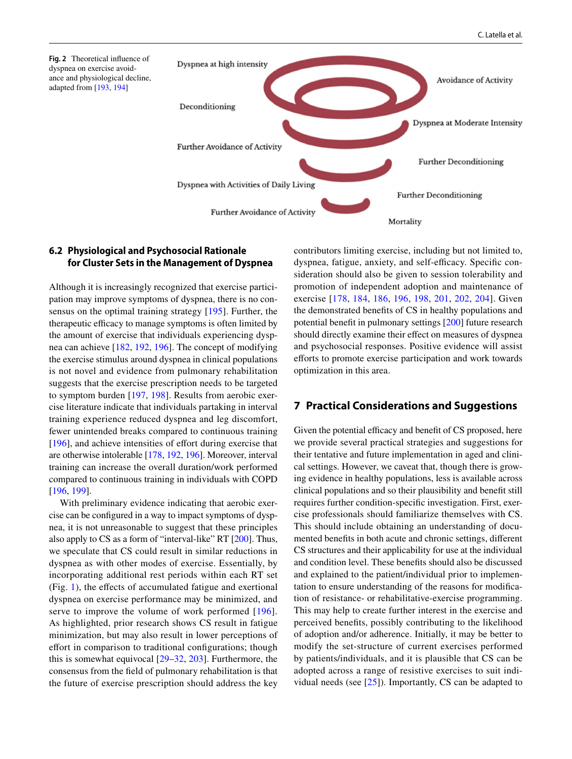<span id="page-9-0"></span>

## **6.2 Physiological and Psychosocial Rationale for Cluster Sets in the Management of Dyspnea**

Although it is increasingly recognized that exercise participation may improve symptoms of dyspnea, there is no consensus on the optimal training strategy [[195](#page-16-18)]. Further, the therapeutic efficacy to manage symptoms is often limited by the amount of exercise that individuals experiencing dyspnea can achieve [\[182](#page-16-8), [192,](#page-16-17) [196\]](#page-16-19). The concept of modifying the exercise stimulus around dyspnea in clinical populations is not novel and evidence from pulmonary rehabilitation suggests that the exercise prescription needs to be targeted to symptom burden [[197,](#page-16-20) [198](#page-16-21)]. Results from aerobic exercise literature indicate that individuals partaking in interval training experience reduced dyspnea and leg discomfort, fewer unintended breaks compared to continuous training [\[196\]](#page-16-19), and achieve intensities of effort during exercise that are otherwise intolerable [\[178,](#page-16-5) [192](#page-16-17), [196\]](#page-16-19). Moreover, interval training can increase the overall duration/work performed compared to continuous training in individuals with COPD [\[196,](#page-16-19) [199\]](#page-16-22).

With preliminary evidence indicating that aerobic exercise can be confgured in a way to impact symptoms of dyspnea, it is not unreasonable to suggest that these principles also apply to CS as a form of "interval-like" RT [\[200\]](#page-16-23). Thus, we speculate that CS could result in similar reductions in dyspnea as with other modes of exercise. Essentially, by incorporating additional rest periods within each RT set (Fig. [1\)](#page-2-0), the efects of accumulated fatigue and exertional dyspnea on exercise performance may be minimized, and serve to improve the volume of work performed [[196\]](#page-16-19). As highlighted, prior research shows CS result in fatigue minimization, but may also result in lower perceptions of effort in comparison to traditional configurations; though this is somewhat equivocal [\[29](#page-12-30)[–32,](#page-12-2) [203\]](#page-16-24). Furthermore, the consensus from the feld of pulmonary rehabilitation is that the future of exercise prescription should address the key contributors limiting exercise, including but not limited to, dyspnea, fatigue, anxiety, and self-efficacy. Specific consideration should also be given to session tolerability and promotion of independent adoption and maintenance of exercise [\[178,](#page-16-5) [184,](#page-16-9) [186](#page-16-11), [196](#page-16-19), [198,](#page-16-21) [201,](#page-16-25) [202,](#page-16-26) [204](#page-16-27)]. Given the demonstrated benefts of CS in healthy populations and potential beneft in pulmonary settings [[200\]](#page-16-23) future research should directly examine their effect on measures of dyspnea and psychosocial responses. Positive evidence will assist eforts to promote exercise participation and work towards optimization in this area.

# **7 Practical Considerations and Suggestions**

Given the potential efficacy and benefit of CS proposed, here we provide several practical strategies and suggestions for their tentative and future implementation in aged and clinical settings. However, we caveat that, though there is growing evidence in healthy populations, less is available across clinical populations and so their plausibility and beneft still requires further condition-specifc investigation. First, exercise professionals should familiarize themselves with CS. This should include obtaining an understanding of documented benefts in both acute and chronic settings, diferent CS structures and their applicability for use at the individual and condition level. These benefts should also be discussed and explained to the patient/individual prior to implementation to ensure understanding of the reasons for modifcation of resistance- or rehabilitative-exercise programming. This may help to create further interest in the exercise and perceived benefts, possibly contributing to the likelihood of adoption and/or adherence. Initially, it may be better to modify the set-structure of current exercises performed by patients/individuals, and it is plausible that CS can be adopted across a range of resistive exercises to suit individual needs (see  $[25]$  $[25]$ ). Importantly, CS can be adapted to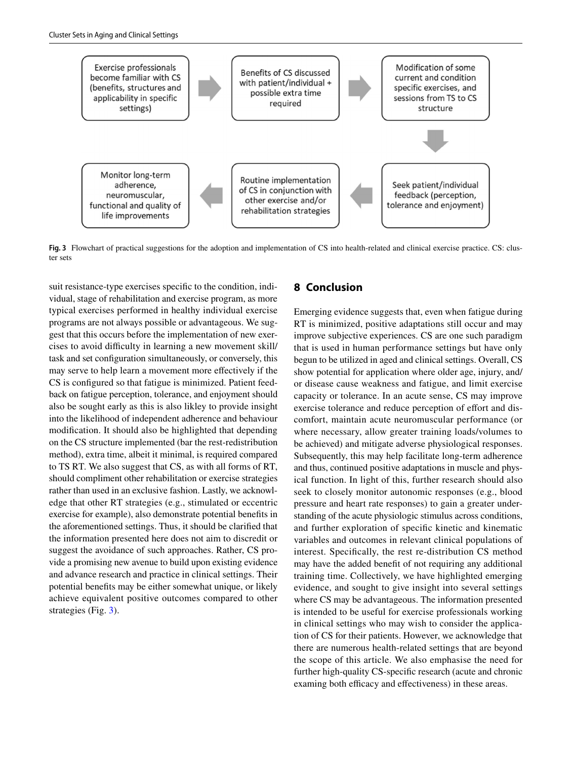

<span id="page-10-0"></span>**Fig. 3** Flowchart of practical suggestions for the adoption and implementation of CS into health-related and clinical exercise practice. CS: cluster sets

suit resistance-type exercises specifc to the condition, individual, stage of rehabilitation and exercise program, as more typical exercises performed in healthy individual exercise programs are not always possible or advantageous. We suggest that this occurs before the implementation of new exercises to avoid difficulty in learning a new movement skill/ task and set confguration simultaneously, or conversely, this may serve to help learn a movement more efectively if the CS is confgured so that fatigue is minimized. Patient feedback on fatigue perception, tolerance, and enjoyment should also be sought early as this is also likley to provide insight into the likelihood of independent adherence and behaviour modifcation. It should also be highlighted that depending on the CS structure implemented (bar the rest-redistribution method), extra time, albeit it minimal, is required compared to TS RT. We also suggest that CS, as with all forms of RT, should compliment other rehabilitation or exercise strategies rather than used in an exclusive fashion. Lastly, we acknowledge that other RT strategies (e.g., stimulated or eccentric exercise for example), also demonstrate potential benefts in the aforementioned settings. Thus, it should be clarifed that the information presented here does not aim to discredit or suggest the avoidance of such approaches. Rather, CS provide a promising new avenue to build upon existing evidence and advance research and practice in clinical settings. Their potential benefts may be either somewhat unique, or likely achieve equivalent positive outcomes compared to other strategies (Fig. [3](#page-10-0)).

# **8 Conclusion**

Emerging evidence suggests that, even when fatigue during RT is minimized, positive adaptations still occur and may improve subjective experiences. CS are one such paradigm that is used in human performance settings but have only begun to be utilized in aged and clinical settings. Overall, CS show potential for application where older age, injury, and/ or disease cause weakness and fatigue, and limit exercise capacity or tolerance. In an acute sense, CS may improve exercise tolerance and reduce perception of effort and discomfort, maintain acute neuromuscular performance (or where necessary, allow greater training loads/volumes to be achieved) and mitigate adverse physiological responses. Subsequently, this may help facilitate long-term adherence and thus, continued positive adaptations in muscle and physical function. In light of this, further research should also seek to closely monitor autonomic responses (e.g., blood pressure and heart rate responses) to gain a greater understanding of the acute physiologic stimulus across conditions, and further exploration of specifc kinetic and kinematic variables and outcomes in relevant clinical populations of interest. Specifcally, the rest re-distribution CS method may have the added beneft of not requiring any additional training time. Collectively, we have highlighted emerging evidence, and sought to give insight into several settings where CS may be advantageous. The information presented is intended to be useful for exercise professionals working in clinical settings who may wish to consider the application of CS for their patients. However, we acknowledge that there are numerous health-related settings that are beyond the scope of this article. We also emphasise the need for further high-quality CS-specifc research (acute and chronic examing both efficacy and effectiveness) in these areas.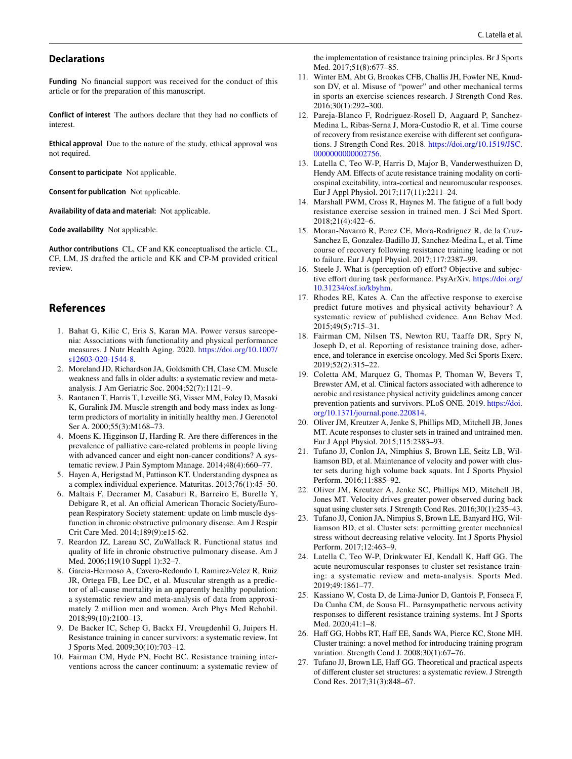#### **Declarations**

**Funding** No fnancial support was received for the conduct of this article or for the preparation of this manuscript.

**Conflict of interest** The authors declare that they had no conficts of interest.

**Ethical approval** Due to the nature of the study, ethical approval was not required.

**Consent to participate** Not applicable.

**Consent for publication** Not applicable.

**Availability of data and material:** Not applicable.

**Code availability** Not applicable.

**Author contributions** CL, CF and KK conceptualised the article. CL, CF, LM, JS drafted the article and KK and CP-M provided critical review.

## **References**

- <span id="page-11-0"></span>1. Bahat G, Kilic C, Eris S, Karan MA. Power versus sarcopenia: Associations with functionality and physical performance measures. J Nutr Health Aging. 2020. [https://doi.org/10.1007/](https://doi.org/10.1007/s12603-020-1544-8) [s12603-020-1544-8](https://doi.org/10.1007/s12603-020-1544-8).
- <span id="page-11-1"></span>2. Moreland JD, Richardson JA, Goldsmith CH, Clase CM. Muscle weakness and falls in older adults: a systematic review and metaanalysis. J Am Geriatric Soc. 2004;52(7):1121–9.
- <span id="page-11-2"></span>3. Rantanen T, Harris T, Leveille SG, Visser MM, Foley D, Masaki K, Guralink JM. Muscle strength and body mass index as longterm predictors of mortality in initially healthy men. J Gerenotol Ser A. 2000;55(3):M168–73.
- <span id="page-11-3"></span>4. Moens K, Higginson IJ, Harding R. Are there diferences in the prevalence of palliative care-related problems in people living with advanced cancer and eight non-cancer conditions? A systematic review. J Pain Symptom Manage. 2014;48(4):660–77.
- <span id="page-11-4"></span>5. Hayen A, Herigstad M, Pattinson KT. Understanding dyspnea as a complex individual experience. Maturitas. 2013;76(1):45–50.
- 6. Maltais F, Decramer M, Casaburi R, Barreiro E, Burelle Y, Debigare R, et al. An official American Thoracic Society/European Respiratory Society statement: update on limb muscle dysfunction in chronic obstructive pulmonary disease. Am J Respir Crit Care Med. 2014;189(9):e15-62.
- <span id="page-11-5"></span>7. Reardon JZ, Lareau SC, ZuWallack R. Functional status and quality of life in chronic obstructive pulmonary disease. Am J Med. 2006;119(10 Suppl 1):32–7.
- <span id="page-11-6"></span>8. Garcia-Hermoso A, Cavero-Redondo I, Ramirez-Velez R, Ruiz JR, Ortega FB, Lee DC, et al. Muscular strength as a predictor of all-cause mortality in an apparently healthy population: a systematic review and meta-analysis of data from approximately 2 million men and women. Arch Phys Med Rehabil. 2018;99(10):2100–13.
- <span id="page-11-7"></span>9. De Backer IC, Schep G, Backx FJ, Vreugdenhil G, Juipers H. Resistance training in cancer survivors: a systematic review. Int J Sports Med. 2009;30(10):703–12.
- <span id="page-11-8"></span>10. Fairman CM, Hyde PN, Focht BC. Resistance training interventions across the cancer continuum: a systematic review of

the implementation of resistance training principles. Br J Sports Med. 2017;51(8):677–85.

- <span id="page-11-20"></span>11. Winter EM, Abt G, Brookes CFB, Challis JH, Fowler NE, Knudson DV, et al. Misuse of "power" and other mechanical terms in sports an exercise sciences research. J Strength Cond Res. 2016;30(1):292–300.
- <span id="page-11-9"></span>12. Pareja-Blanco F, Rodriguez-Rosell D, Aagaard P, Sanchez-Medina L, Ribas-Serna J, Mora-Custodio R, et al. Time course of recovery from resistance exercise with diferent set confgurations. J Strength Cond Res. 2018. [https://doi.org/10.1519/JSC.](https://doi.org/10.1519/JSC.0000000000002756) [0000000000002756](https://doi.org/10.1519/JSC.0000000000002756).
- 13. Latella C, Teo W-P, Harris D, Major B, Vanderwesthuizen D, Hendy AM. Effects of acute resistance training modality on corticospinal excitability, intra-cortical and neuromuscular responses. Eur J Appl Physiol. 2017;117(11):2211–24.
- 14. Marshall PWM, Cross R, Haynes M. The fatigue of a full body resistance exercise session in trained men. J Sci Med Sport. 2018;21(4):422–6.
- <span id="page-11-10"></span>15. Moran-Navarro R, Perez CE, Mora-Rodriguez R, de la Cruz-Sanchez E, Gonzalez-Badillo JJ, Sanchez-Medina L, et al. Time course of recovery following resistance training leading or not to failure. Eur J Appl Physiol. 2017;117:2387–99.
- <span id="page-11-11"></span>16. Steele J. What is (perception of) effort? Objective and subjective effort during task performance. PsyArXiv. [https://doi.org/](https://doi.org/10.31234/osf.io/kbyhm) [10.31234/osf.io/kbyhm.](https://doi.org/10.31234/osf.io/kbyhm)
- <span id="page-11-12"></span>17. Rhodes RE, Kates A. Can the afective response to exercise predict future motives and physical activity behaviour? A systematic review of published evidence. Ann Behav Med. 2015;49(5):715–31.
- 18. Fairman CM, Nilsen TS, Newton RU, Taaffe DR, Spry N, Joseph D, et al. Reporting of resistance training dose, adherence, and tolerance in exercise oncology. Med Sci Sports Exerc. 2019;52(2):315–22.
- <span id="page-11-13"></span>19. Coletta AM, Marquez G, Thomas P, Thoman W, Bevers T, Brewster AM, et al. Clinical factors associated with adherence to aerobic and resistance physical activity guidelines among cancer prevention patients and survivors. PLoS ONE. 2019. [https://doi.](https://doi.org/10.1371/journal.pone.220814) [org/10.1371/journal.pone.220814](https://doi.org/10.1371/journal.pone.220814).
- <span id="page-11-14"></span>20. Oliver JM, Kreutzer A, Jenke S, Phillips MD, Mitchell JB, Jones MT. Acute responses to cluster sets in trained and untrained men. Eur J Appl Physiol. 2015;115:2383–93.
- <span id="page-11-21"></span>21. Tufano JJ, Conlon JA, Nimphius S, Brown LE, Seitz LB, Williamson BD, et al. Maintenance of velocity and power with cluster sets during high volume back squats. Int J Sports Physiol Perform. 2016;11:885–92.
- 22. Oliver JM, Kreutzer A, Jenke SC, Phillips MD, Mitchell JB, Jones MT. Velocity drives greater power observed during back squat using cluster sets. J Strength Cond Res. 2016;30(1):235–43.
- <span id="page-11-15"></span>23. Tufano JJ, Conion JA, Nimpius S, Brown LE, Banyard HG, Williamson BD, et al. Cluster sets: permitting greater mechanical stress without decreasing relative velocity. Int J Sports Physiol Perform. 2017;12:463–9.
- <span id="page-11-16"></span>24. Latella C, Teo W-P, Drinkwater EJ, Kendall K, Haff GG. The acute neuromuscular responses to cluster set resistance training: a systematic review and meta-analysis. Sports Med. 2019;49:1861–77.
- <span id="page-11-17"></span>25. Kassiano W, Costa D, de Lima-Junior D, Gantois P, Fonseca F, Da Cunha CM, de Sousa FL. Parasympathetic nervous activity responses to diferent resistance training systems. Int J Sports Med. 2020;41:1–8.
- <span id="page-11-18"></span>26. Haff GG, Hobbs RT, Haff EE, Sands WA, Pierce KC, Stone MH. Cluster training: a novel method for introducing training program variation. Strength Cond J. 2008;30(1):67–76.
- <span id="page-11-19"></span>27. Tufano JJ, Brown LE, Haff GG. Theoretical and practical aspects of diferent cluster set structures: a systematic review. J Strength Cond Res. 2017;31(3):848–67.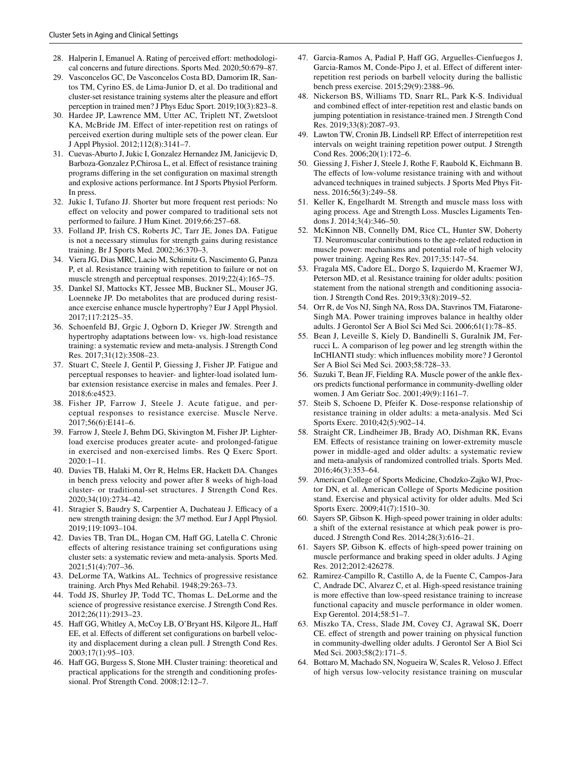- <span id="page-12-0"></span>28. Halperin I, Emanuel A. Rating of perceived effort: methodological concerns and future directions. Sports Med. 2020;50:679–87.
- <span id="page-12-30"></span>29. Vasconcelos GC, De Vasconcelos Costa BD, Damorim IR, Santos TM, Cyrino ES, de Lima-Junior D, et al. Do traditional and cluster-set resistance training systems alter the pleasure and efort perception in trained men? J Phys Educ Sport. 2019;10(3):823–8.
- <span id="page-12-15"></span>30. Hardee JP, Lawrence MM, Utter AC, Triplett NT, Zwetsloot KA, McBride JM. Efect of inter-repetition rest on ratings of perceived exertion during multiple sets of the power clean. Eur J Appl Physiol. 2012;112(8):3141–7.
- <span id="page-12-1"></span>31. Cuevas-Aburto J, Jukic I, Gonzalez Hernandez JM, Janicijevic D, Barboza-Gonzalez P,Chirosa L, et al. Efect of resistance training programs difering in the set confguration on maximal strength and explosive actions performance. Int J Sports Physiol Perform. In press.
- <span id="page-12-2"></span>32. Jukic I, Tufano JJ. Shorter but more frequent rest periods: No efect on velocity and power compared to traditional sets not performed to failure. J Hum Kinet. 2019;66:257–68.
- <span id="page-12-3"></span>33. Folland JP, Irish CS, Roberts JC, Tarr JE, Jones DA. Fatigue is not a necessary stimulus for strength gains during resistance training. Br J Sports Med. 2002;36:370–3.
- 34. Viera JG, Dias MRC, Lacio M, Schimitz G, Nascimento G, Panza P, et al. Resistance training with repetition to failure or not on muscle strength and perceptual responses. 2019;22(4):165–75.
- <span id="page-12-4"></span>35. Dankel SJ, Mattocks KT, Jessee MB, Buckner SL, Mouser JG, Loenneke JP. Do metabolites that are produced during resistance exercise enhance muscle hypertrophy? Eur J Appl Physiol. 2017;117:2125–35.
- <span id="page-12-5"></span>36. Schoenfeld BJ, Grgic J, Ogborn D, Krieger JW. Strength and hypertrophy adaptations between low- vs. high-load resistance training: a systematic review and meta-analysis. J Strength Cond Res. 2017;31(12):3508–23.
- <span id="page-12-6"></span>37. Stuart C, Steele J, Gentil P, Giessing J, Fisher JP. Fatigue and perceptual responses to heavier- and lighter-load isolated lumbar extension resistance exercise in males and females. Peer J. 2018;6:e4523.
- 38. Fisher JP, Farrow J, Steele J. Acute fatigue, and perceptual responses to resistance exercise. Muscle Nerve. 2017;56(6):E141–6.
- <span id="page-12-7"></span>39. Farrow J, Steele J, Behm DG, Skivington M, Fisher JP. Lighterload exercise produces greater acute- and prolonged-fatigue in exercised and non-exercised limbs. Res Q Exerc Sport. 2020:1–11.
- <span id="page-12-8"></span>40. Davies TB, Halaki M, Orr R, Helms ER, Hackett DA. Changes in bench press velocity and power after 8 weeks of high-load cluster- or traditional-set structures. J Strength Cond Res. 2020;34(10):2734–42.
- <span id="page-12-9"></span>41. Stragier S, Baudry S, Carpentier A, Duchateau J. Efficacy of a new strength training design: the 3/7 method. Eur J Appl Physiol. 2019;119:1093–104.
- <span id="page-12-10"></span>42. Davies TB, Tran DL, Hogan CM, Haff GG, Latella C. Chronic efects of altering resistance training set confgurations using cluster sets: a systematic review and meta-analysis. Sports Med. 2021;51(4):707–36.
- <span id="page-12-11"></span>43. DeLorme TA, Watkins AL. Technics of progressive resistance training. Arch Phys Med Rehabil. 1948;29:263–73.
- <span id="page-12-12"></span>44. Todd JS, Shurley JP, Todd TC, Thomas L. DeLorme and the science of progressive resistance exercise. J Strength Cond Res. 2012;26(11):2913–23.
- <span id="page-12-13"></span>45. Haf GG, Whitley A, McCoy LB, O'Bryant HS, Kilgore JL, Haf EE, et al. Efects of diferent set confgurations on barbell velocity and displacement during a clean pull. J Strength Cond Res. 2003;17(1):95–103.
- <span id="page-12-14"></span>46. Haf GG, Burgess S, Stone MH. Cluster training: theoretical and practical applications for the strength and conditioning professional. Prof Strength Cond. 2008;12:12–7.
- <span id="page-12-16"></span>47. Garcia-Ramos A, Padial P, Haf GG, Arguelles-Cienfuegos J, Garcia-Ramos M, Conde-Pipo J, et al. Efect of diferent interrepetition rest periods on barbell velocity during the ballistic bench press exercise. 2015;29(9):2388–96.
- 48. Nickerson BS, Williams TD, Snarr RL, Park K-S. Individual and combined efect of inter-repetition rest and elastic bands on jumping potentiation in resistance-trained men. J Strength Cond Res. 2019;33(8):2087–93.
- <span id="page-12-18"></span>49. Lawton TW, Cronin JB, Lindsell RP. Efect of interrepetition rest intervals on weight training repetition power output. J Strength Cond Res. 2006;20(1):172–6.
- <span id="page-12-17"></span>50. Giessing J, Fisher J, Steele J, Rothe F, Raubold K, Eichmann B. The effects of low-volume resistance training with and without advanced techniques in trained subjects. J Sports Med Phys Fitness. 2016;56(3):249–58.
- <span id="page-12-19"></span>51. Keller K, Engelhardt M. Strength and muscle mass loss with aging process. Age and Strength Loss. Muscles Ligaments Tendons J. 2014;3(4):346–50.
- <span id="page-12-22"></span>52. McKinnon NB, Connelly DM, Rice CL, Hunter SW, Doherty TJ. Neuromuscular contributions to the age-related reduction in muscle power: mechanisms and potential role of high velocity power training. Ageing Res Rev. 2017;35:147–54.
- <span id="page-12-25"></span>53. Fragala MS, Cadore EL, Dorgo S, Izquierdo M, Kraemer WJ, Peterson MD, et al. Resistance training for older adults: position statement from the national strength and conditioning association. J Strength Cond Res. 2019;33(8):2019–52.
- 54. Orr R, de Vos NJ, Singh NA, Ross DA, Stavrinos TM, Fiatarone-Singh MA. Power training improves balance in healthy older adults. J Gerontol Ser A Biol Sci Med Sci. 2006;61(1):78–85.
- <span id="page-12-20"></span>55. Bean J, Leveille S, Kiely D, Bandinelli S, Guralnik JM, Ferrucci L. A comparison of leg power and leg strength within the InCHIANTI study: which infuences mobility more? J Gerontol Ser A Biol Sci Med Sci. 2003;58:728–33.
- <span id="page-12-21"></span>56. Suzuki T, Bean JF, Fielding RA. Muscle power of the ankle fexors predicts functional performance in community-dwelling older women. J Am Geriatr Soc. 2001;49(9):1161–7.
- <span id="page-12-23"></span>57. Steib S, Schoene D, Pfeifer K. Dose-response relationship of resistance training in older adults: a meta-analysis. Med Sci Sports Exerc. 2010;42(5):902–14.
- <span id="page-12-24"></span>58. Straight CR, Lindheimer JB, Brady AO, Dishman RK, Evans EM. Efects of resistance training on lower-extremity muscle power in middle-aged and older adults: a systematic review and meta-analysis of randomized controlled trials. Sports Med. 2016;46(3):353–64.
- <span id="page-12-26"></span>59. American College of Sports Medicine, Chodzko-Zajko WJ, Proctor DN, et al. American College of Sports Medicine position stand. Exercise and physical activity for older adults. Med Sci Sports Exerc. 2009;41(7):1510–30.
- <span id="page-12-27"></span>60. Sayers SP, Gibson K. High-speed power training in older adults: a shift of the external resistance at which peak power is produced. J Strength Cond Res. 2014;28(3):616–21.
- 61. Sayers SP, Gibson K. efects of high-speed power training on muscle performance and braking speed in older adults. J Aging Res. 2012;2012:426278.
- 62. Ramirez-Campillo R, Castillo A, de la Fuente C, Campos-Jara C, Andrade DC, Alvarez C, et al. High-speed resistance training is more efective than low-speed resistance training to increase functional capacity and muscle performance in older women. Exp Gerentol. 2014;58:51–7.
- <span id="page-12-29"></span>63. Miszko TA, Cress, Slade JM, Covey CJ, Agrawal SK, Doerr CE. effect of strength and power training on physical function in community-dwelling older adults. J Gerontol Ser A Biol Sci Med Sci. 2003;58(2):171–5.
- <span id="page-12-28"></span>64. Bottaro M, Machado SN, Nogueira W, Scales R, Veloso J. Efect of high versus low-velocity resistance training on muscular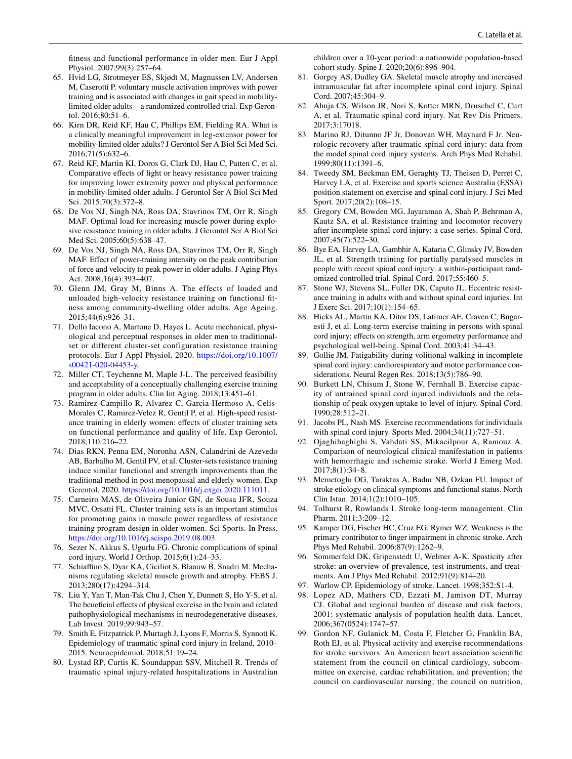ftness and functional performance in older men. Eur J Appl Physiol. 2007;99(3):257–64.

- <span id="page-13-0"></span>65. Hvid LG, Strotmeyer ES, Skjødt M, Magnussen LV, Andersen M, Caserotti P. voluntary muscle activation improves with power training and is associated with changes in gait speed in mobilitylimited older adults—a randomized controlled trial. Exp Gerontol. 2016;80:51–6.
- <span id="page-13-1"></span>66. Kirn DR, Reid KF, Hau C, Phillips EM, Fielding RA. What is a clinically meaningful improvement in leg-extensor power for mobility-limited older adults? J Gerontol Ser A Biol Sci Med Sci. 2016;71(5):632–6.
- <span id="page-13-2"></span>67. Reid KF, Martin KI, Doros G, Clark DJ, Hau C, Patten C, et al. Comparative effects of light or heavy resistance power training for improving lower extremity power and physical performance in mobility-limited older adults. J Gerontol Ser A Biol Sci Med Sci. 2015;70(3):372–8.
- 68. De Vos NJ, Singh NA, Ross DA, Stavrinos TM, Orr R, Singh MAF. Optimal load for increasing muscle power during explosive resistance training in older adults. J Gerontol Ser A Biol Sci Med Sci. 2005;60(5):638–47.
- <span id="page-13-3"></span>69. De Vos NJ, Singh NA, Ross DA, Stavrinos TM, Orr R, Singh MAF. Efect of power-training intensity on the peak contribution of force and velocity to peak power in older adults. J Aging Phys Act. 2008;16(4):393–407.
- <span id="page-13-4"></span>70. Glenn JM, Gray M, Binns A. The effects of loaded and unloaded high-velocity resistance training on functional ftness among community-dwelling older adults. Age Ageing. 2015;44(6):926–31.
- <span id="page-13-5"></span>71. Dello Iacono A, Martone D, Hayes L. Acute mechanical, physiological and perceptual responses in older men to traditionalset or different cluster-set configuration resistance training protocols. Eur J Appl Physiol. 2020. [https://doi.org/10.1007/](https://doi.org/10.1007/s00421-020-04453-y) [s00421-020-04453-y.](https://doi.org/10.1007/s00421-020-04453-y)
- <span id="page-13-6"></span>72. Miller CT, Teychenne M, Maple J-L. The perceived feasibility and acceptability of a conceptually challenging exercise training program in older adults. Clin Int Aging. 2018;13:451–61.
- <span id="page-13-7"></span>73. Ramirez-Campillo R, Alvarez C, Garcia-Hermoso A, Celis-Morales C, Ramirez-Velez R, Gentil P, et al. High-speed resistance training in elderly women: effects of cluster training sets on functional performance and quality of life. Exp Gerontol. 2018;110:216–22.
- <span id="page-13-9"></span>74. Dias RKN, Penna EM, Noronha ASN, Calandrini de Azevedo AB, Barbalho M, Gentil PV, et al. Cluster-sets resistance training induce similar functional and strength improvements than the traditional method in post menopausal and elderly women. Exp Gerentol. 2020. [https://doi.org/10.1016/j.exger.2020.111011.](https://doi.org/10.1016/j.exger.2020.111011)
- <span id="page-13-8"></span>75. Carneiro MAS, de Oliveira Junior GN, de Sousa JFR, Souza MVC, Orsatti FL. Cluster training sets is an important stimulus for promoting gains in muscle power regardless of resistance training program design in older women. Sci Sports. In Press. [https://doi.org/10.1016/j.scispo.2019.08.003.](https://doi.org/10.1016/j.scispo.2019.08.003)
- <span id="page-13-10"></span>76. Sezer N, Akkus S, Ugurlu FG. Chronic complications of spinal cord injury. World J Orthop. 2015;6(1):24–33.
- <span id="page-13-11"></span>77. Schiafno S, Dyar KA, Ciciliot S, Blaauw B, Snadri M. Mechanisms regulating skeletal muscle growth and atrophy. FEBS J. 2013;280(17):4294–314.
- <span id="page-13-12"></span>78. Liu Y, Yan T, Man-Tak Chu J, Chen Y, Dunnett S, Ho Y-S, et al. The beneficial effects of physical exercise in the brain and related pathophysiological mechanisms in neurodegenerative diseases. Lab Invest. 2019;99:943–57.
- <span id="page-13-13"></span>79. Smith E, Fitzpatrick P, Murtagh J, Lyons F, Morris S, Synnott K. Epidemiology of traumatic spinal cord injury in Ireland, 2010– 2015. Neuroepidemiol. 2018;51:19–24.
- <span id="page-13-14"></span>80. Lystad RP, Curtis K, Soundappan SSV, Mitchell R. Trends of traumatic spinal injury-related hospitalizations in Australian

children over a 10-year period: a nationwide population-based cohort study. Spine J. 2020;20(6):896–904.

- <span id="page-13-15"></span>81. Gorgey AS, Dudley GA. Skeletal muscle atrophy and increased intramuscular fat after incomplete spinal cord injury. Spinal Cord. 2007;45:304–9.
- <span id="page-13-16"></span>82. Ahuja CS, Wilson JR, Nori S, Kotter MRN, Druschel C, Curt A, et al. Traumatic spinal cord injury. Nat Rev Dis Primers. 2017;3:17018.
- <span id="page-13-18"></span>83. Marino RJ, Ditunno JF Jr, Donovan WH, Maynard F Jr. Neurologic recovery after traumatic spinal cord injury: data from the model spinal cord injury systems. Arch Phys Med Rehabil. 1999;80(11):1391–6.
- <span id="page-13-17"></span>84. Tweedy SM, Beckman EM, Geraghty TJ, Theisen D, Perret C, Harvey LA, et al. Exercise and sports science Australia (ESSA) position statement on exercise and spinal cord injury. J Sci Med Sport. 2017;20(2):108–15.
- <span id="page-13-19"></span>85. Gregory CM, Bowden MG, Jayaraman A, Shah P, Behrman A, Kautz SA, et al. Resistance training and locomotor recovery after incomplete spinal cord injury: a case series. Spinal Cord. 2007;45(7):522–30.
- <span id="page-13-20"></span>86. Bye EA, Harvey LA, Gambhir A, Kataria C, Glinsky JV, Bowden JL, et al. Strength training for partially paralysed muscles in people with recent spinal cord injury: a within-participant randomized controlled trial. Spinal Cord. 2017;55:460–5.
- <span id="page-13-21"></span>87. Stone WJ, Stevens SL, Fuller DK, Caputo JL. Eccentric resistance training in adults with and without spinal cord injuries. Int J Exerc Sci. 2017;10(1):154–65.
- <span id="page-13-22"></span>88. Hicks AL, Martin KA, Ditor DS, Latimer AE, Craven C, Bugaresti J, et al. Long-term exercise training in persons with spinal cord injury: efects on strength, arm ergometry performance and psychological well-being. Spinal Cord. 2003;41:34–43.
- <span id="page-13-23"></span>89. Gollie JM. Fatigability during volitional walking in incomplete spinal cord injury: cardiorespiratory and motor performance considerations. Neural Regen Res. 2018;13(5):786–90.
- <span id="page-13-24"></span>90. Burkett LN, Chisum J, Stone W, Fernhall B. Exercise capacity of untrained spinal cord injured individuals and the relationship of peak oxygen uptake to level of injury. Spinal Cord. 1990;28:512–21.
- <span id="page-13-25"></span>91. Jacobs PL, Nash MS. Exercise recommendations for individuals with spinal cord injury. Sports Med. 2004;34(11):727–51.
- <span id="page-13-26"></span>92. Ojaghihaghighi S, Vahdati SS, Mikaeilpour A, Ramouz A. Comparison of neurological clinical manifestation in patients with hemorrhagic and ischemic stroke. World J Emerg Med. 2017;8(1):34–8.
- <span id="page-13-27"></span>93. Memetoglu OG, Taraktas A, Badur NB, Ozkan FU. Impact of stroke etiology on clinical symptoms and functional status. North Clin Istan. 2014;1(2):1010–105.
- 94. Tolhurst R, Rowlands I. Stroke long-term management. Clin Pharm. 2011;3:209–12.
- 95. Kamper DG, Fischer HC, Cruz EG, Rymer WZ. Weakness is the primary contributor to fnger impairment in chronic stroke. Arch Phys Med Rehabil. 2006;87(9):1262–9.
- <span id="page-13-28"></span>96. Sommerfeld DK, Gripenstedt U, Welmer A-K. Spasticity after stroke: an overview of prevalence, test instruments, and treatments. Am J Phys Med Rehabil. 2012;91(9):814–20.
- <span id="page-13-29"></span>97. Warlow CP. Epidemiology of stroke. Lancet. 1998;352:S1-4.
- <span id="page-13-30"></span>98. Lopez AD, Mathers CD, Ezzati M, Jamison DT, Murray CJ. Global and regional burden of disease and risk factors, 2001: systematic analysis of population health data. Lancet. 2006;367(0524):1747–57.
- <span id="page-13-31"></span>99. Gordon NF, Gulanick M, Costa F, Fletcher G, Franklin BA, Roth EJ, et al. Physical activity and exercise recommendations for stroke survivors. An American heart association scientifc statement from the council on clinical cardiology, subcommittee on exercise, cardiac rehabilitation, and prevention; the council on cardiovascular nursing; the council on nutrition,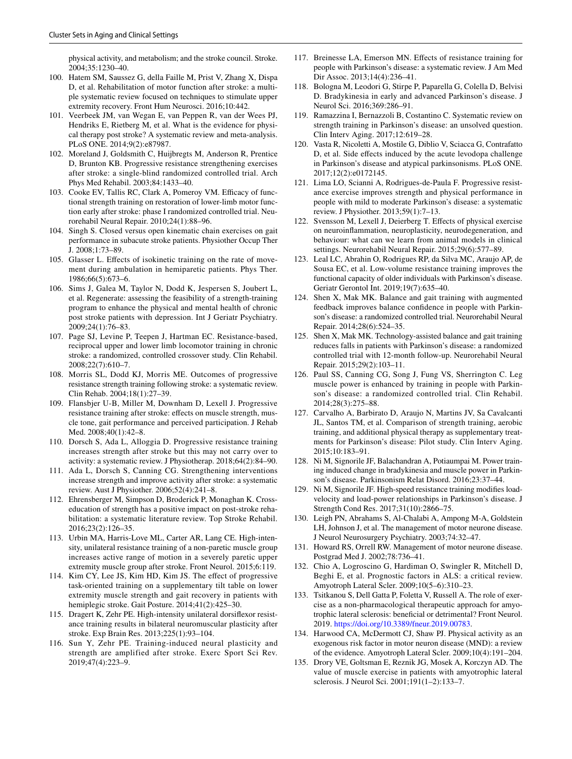physical activity, and metabolism; and the stroke council. Stroke. 2004;35:1230–40.

- 100. Hatem SM, Saussez G, della Faille M, Prist V, Zhang X, Dispa D, et al. Rehabilitation of motor function after stroke: a multiple systematic review focused on techniques to stimulate upper extremity recovery. Front Hum Neurosci. 2016;10:442.
- <span id="page-14-0"></span>101. Veerbeek JM, van Wegan E, van Peppen R, van der Wees PJ, Hendriks E, Rietberg M, et al. What is the evidence for physical therapy post stroke? A systematic review and meta-analysis. PLoS ONE. 2014;9(2):e87987.
- <span id="page-14-1"></span>102. Moreland J, Goldsmith C, Huijbregts M, Anderson R, Prentice D, Brunton KB. Progressive resistance strengthening exercises after stroke: a single-blind randomized controlled trial. Arch Phys Med Rehabil. 2003;84:1433–40.
- 103. Cooke EV, Tallis RC, Clark A, Pomeroy VM. Efficacy of functional strength training on restoration of lower-limb motor function early after stroke: phase I randomized controlled trial. Neurorehabil Neural Repair. 2010;24(1):88–96.
- <span id="page-14-2"></span>104. Singh S. Closed versus open kinematic chain exercises on gait performance in subacute stroke patients. Physiother Occup Ther J. 2008;1:73–89.
- <span id="page-14-3"></span>105. Glasser L. Efects of isokinetic training on the rate of movement during ambulation in hemiparetic patients. Phys Ther. 1986;66(5):673–6.
- <span id="page-14-4"></span>106. Sims J, Galea M, Taylor N, Dodd K, Jespersen S, Joubert L, et al. Regenerate: assessing the feasibility of a strength-training program to enhance the physical and mental health of chronic post stroke patients with depression. Int J Geriatr Psychiatry. 2009;24(1):76–83.
- <span id="page-14-5"></span>107. Page SJ, Levine P, Teepen J, Hartman EC. Resistance-based, reciprocal upper and lower limb locomotor training in chronic stroke: a randomized, controlled crossover study. Clin Rehabil. 2008;22(7):610–7.
- <span id="page-14-6"></span>108. Morris SL, Dodd KJ, Morris ME. Outcomes of progressive resistance strength training following stroke: a systematic review. Clin Rehab. 2004;18(1):27–39.
- 109. Flansbjer U-B, Miller M, Downham D, Lexell J. Progressive resistance training after stroke: efects on muscle strength, muscle tone, gait performance and perceived participation. J Rehab Med. 2008;40(1):42–8.
- 110. Dorsch S, Ada L, Alloggia D. Progressive resistance training increases strength after stroke but this may not carry over to activity: a systematic review. J Physiotherap. 2018;64(2):84–90.
- <span id="page-14-7"></span>111. Ada L, Dorsch S, Canning CG. Strengthening interventions increase strength and improve activity after stroke: a systematic review. Aust J Physiother. 2006;52(4):241–8.
- <span id="page-14-8"></span>112. Ehrensberger M, Simpson D, Broderick P, Monaghan K. Crosseducation of strength has a positive impact on post-stroke rehabilitation: a systematic literature review. Top Stroke Rehabil. 2016;23(2):126–35.
- 113. Urbin MA, Harris-Love ML, Carter AR, Lang CE. High-intensity, unilateral resistance training of a non-paretic muscle group increases active range of motion in a severely paretic upper extremity muscle group after stroke. Front Neurol. 2015;6:119.
- <span id="page-14-10"></span>114. Kim CY, Lee JS, Kim HD, Kim JS. The efect of progressive task-oriented training on a supplementary tilt table on lower extremity muscle strength and gait recovery in patients with hemiplegic stroke. Gait Posture. 2014;41(2):425–30.
- <span id="page-14-9"></span>115. Dragert K, Zehr PE. High-intensity unilateral dorsifexor resistance training results in bilateral neuromuscular plasticity after stroke. Exp Brain Res. 2013;225(1):93–104.
- <span id="page-14-11"></span>116. Sun Y, Zehr PE. Training-induced neural plasticity and strength are amplified after stroke. Exerc Sport Sci Rev. 2019;47(4):223–9.
- <span id="page-14-12"></span>117. Breinesse LA, Emerson MN. Efects of resistance training for people with Parkinson's disease: a systematic review. J Am Med Dir Assoc. 2013;14(4):236–41.
- <span id="page-14-13"></span>118. Bologna M, Leodori G, Stirpe P, Paparella G, Colella D, Belvisi D. Bradykinesia in early and advanced Parkinson's disease. J Neurol Sci. 2016;369:286–91.
- <span id="page-14-14"></span>119. Ramazzina I, Bernazzoli B, Costantino C. Systematic review on strength training in Parkinson's disease: an unsolved question. Clin Interv Aging. 2017;12:619–28.
- <span id="page-14-15"></span>120. Vasta R, Nicoletti A, Mostile G, Diblio V, Sciacca G, Contrafatto D, et al. Side efects induced by the acute levodopa challenge in Parkinson's disease and atypical parkinsonisms. PLoS ONE. 2017;12(2):e0172145.
- <span id="page-14-16"></span>121. Lima LO, Scianni A, Rodrigues-de-Paula F. Progressive resistance exercise improves strength and physical performance in people with mild to moderate Parkinson's disease: a systematic review. J Physiother. 2013;59(1):7–13.
- <span id="page-14-17"></span>122. Svensson M, Lexell J, Deierberg T. Efects of physical exercise on neuroinfammation, neuroplasticity, neurodegeneration, and behaviour: what can we learn from animal models in clinical settings. Neurorehabil Neural Repair. 2015;29(6):577–89.
- <span id="page-14-18"></span>123. Leal LC, Abrahin O, Rodrigues RP, da Silva MC, Araujo AP, de Sousa EC, et al. Low-volume resistance training improves the functional capacity of older individuals with Parkinson's disease. Geriatr Gerontol Int. 2019;19(7):635–40.
- <span id="page-14-19"></span>124. Shen X, Mak MK. Balance and gait training with augmented feedback improves balance confdence in people with Parkinson's disease: a randomized controlled trial. Neurorehabil Neural Repair. 2014;28(6):524–35.
- 125. Shen X, Mak MK. Technology-assisted balance and gait training reduces falls in patients with Parkinson's disease: a randomized controlled trial with 12-month follow-up. Neurorehabil Neural Repair. 2015;29(2):103–11.
- 126. Paul SS, Canning CG, Song J, Fung VS, Sherrington C. Leg muscle power is enhanced by training in people with Parkinson's disease: a randomized controlled trial. Clin Rehabil. 2014;28(3):275–88.
- <span id="page-14-20"></span>127. Carvalho A, Barbirato D, Araujo N, Martins JV, Sa Cavalcanti JL, Santos TM, et al. Comparison of strength training, aerobic training, and additional physical therapy as supplementary treatments for Parkinson's disease: Pilot study. Clin Interv Aging. 2015;10:183–91.
- <span id="page-14-21"></span>128. Ni M, Signorile JF, Balachandran A, Potiaumpai M. Power training induced change in bradykinesia and muscle power in Parkinson's disease. Parkinsonism Relat Disord. 2016;23:37–44.
- <span id="page-14-22"></span>129. Ni M, Signorile JF. High-speed resistance training modifes loadvelocity and load-power relationships in Parkinson's disease. J Strength Cond Res. 2017;31(10):2866–75.
- <span id="page-14-23"></span>130. Leigh PN, Abrahams S, Al-Chalabi A, Ampong M-A, Goldstein LH, Johnson J, et al. The management of motor neurone disease. J Neurol Neurosurgery Psychiatry. 2003;74:32–47.
- <span id="page-14-24"></span>131. Howard RS, Orrell RW. Management of motor neurone disease. Postgrad Med J. 2002;78:736–41.
- <span id="page-14-25"></span>132. Chio A, Logroscino G, Hardiman O, Swingler R, Mitchell D, Beghi E, et al. Prognostic factors in ALS: a critical review. Amyotroph Lateral Scler. 2009;10(5–6):310–23.
- <span id="page-14-26"></span>133. Tsitkanou S, Dell Gatta P, Foletta V, Russell A. The role of exercise as a non-pharmacological therapeutic approach for amyotrophic lateral sclerosis: benefcial or detrimental? Front Neurol. 2019. [https://doi.org/10.3389/fneur.2019.00783.](https://doi.org/10.3389/fneur.2019.00783)
- <span id="page-14-27"></span>134. Harwood CA, McDermott CJ, Shaw PJ. Physical activity as an exogenous risk factor in motor neuron disease (MND): a review of the evidence. Amyotroph Lateral Scler. 2009;10(4):191–204.
- <span id="page-14-28"></span>135. Drory VE, Goltsman E, Reznik JG, Mosek A, Korczyn AD. The value of muscle exercise in patients with amyotrophic lateral sclerosis. J Neurol Sci. 2001;191(1–2):133–7.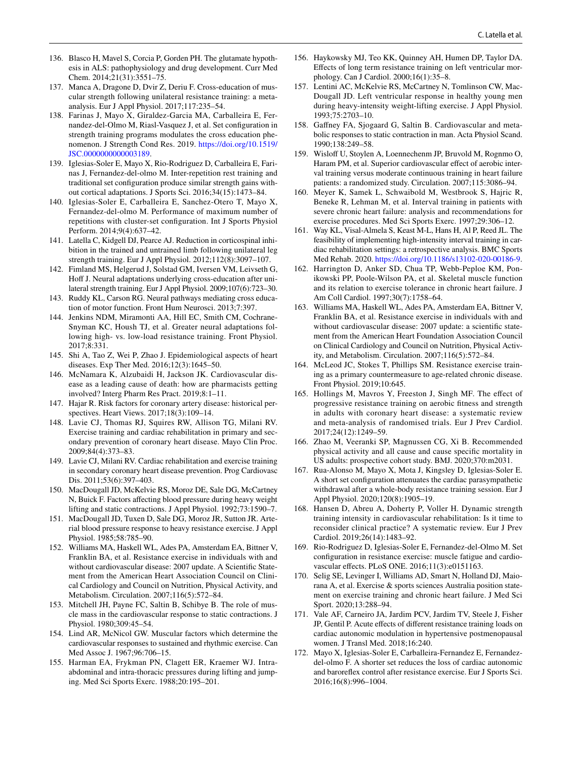- <span id="page-15-0"></span>136. Blasco H, Mavel S, Corcia P, Gorden PH. The glutamate hypothesis in ALS: pathophysiology and drug development. Curr Med Chem. 2014;21(31):3551–75.
- <span id="page-15-1"></span>137. Manca A, Dragone D, Dvir Z, Deriu F. Cross-education of muscular strength following unilateral resistance training: a metaanalysis. Eur J Appl Physiol. 2017;117:235–54.
- <span id="page-15-2"></span>138. Farinas J, Mayo X, Giraldez-Garcia MA, Carballeira E, Fernandez-del-Olmo M, Riasl-Vasquez J, et al. Set confguration in strength training programs modulates the cross education phenomenon. J Strength Cond Res. 2019. [https://doi.org/10.1519/](https://doi.org/10.1519/JSC.0000000000003189) [JSC.0000000000003189](https://doi.org/10.1519/JSC.0000000000003189).
- <span id="page-15-3"></span>139. Iglesias-Soler E, Mayo X, Rio-Rodriguez D, Carballeira E, Farinas J, Fernandez-del-olmo M. Inter-repetition rest training and traditional set confguration produce similar strength gains without cortical adaptations. J Sports Sci. 2016;34(15):1473–84.
- <span id="page-15-4"></span>140. Iglesias-Soler E, Carballeira E, Sanchez-Otero T, Mayo X, Fernandez-del-olmo M. Performance of maximum number of repetitions with cluster-set confguration. Int J Sports Physiol Perform. 2014;9(4):637–42.
- <span id="page-15-5"></span>141. Latella C, Kidgell DJ, Pearce AJ. Reduction in corticospinal inhibition in the trained and untrained limb following unilateral leg strength training. Eur J Appl Physiol. 2012;112(8):3097–107.
- 142. Fimland MS, Helgerud J, Solstad GM, Iversen VM, Leivseth G, Hoff J. Neural adaptations underlying cross-education after unilateral strength training. Eur J Appl Physiol. 2009;107(6):723–30.
- <span id="page-15-6"></span>143. Ruddy KL, Carson RG. Neural pathways mediating cross education of motor function. Front Hum Neurosci. 2013;7:397.
- <span id="page-15-7"></span>144. Jenkins NDM, Miramonti AA, Hill EC, Smith CM, Cochrane-Snyman KC, Housh TJ, et al. Greater neural adaptations following high- vs. low-load resistance training. Front Physiol. 2017;8:331.
- <span id="page-15-8"></span>145. Shi A, Tao Z, Wei P, Zhao J. Epidemiological aspects of heart diseases. Exp Ther Med. 2016;12(3):1645–50.
- <span id="page-15-9"></span>146. McNamara K, Alzubaidi H, Jackson JK. Cardiovascular disease as a leading cause of death: how are pharmacists getting involved? Interg Pharm Res Pract. 2019;8:1–11.
- <span id="page-15-10"></span>147. Hajar R. Risk factors for coronary artery disease: historical perspectives. Heart Views. 2017;18(3):109–14.
- <span id="page-15-11"></span>148. Lavie CJ, Thomas RJ, Squires RW, Allison TG, Milani RV. Exercise training and cardiac rehabilitation in primary and secondary prevention of coronary heart disease. Mayo Clin Proc. 2009;84(4):373–83.
- <span id="page-15-12"></span>149. Lavie CJ, Milani RV. Cardiac rehabilitation and exercise training in secondary coronary heart disease prevention. Prog Cardiovasc Dis. 2011;53(6):397–403.
- <span id="page-15-13"></span>150. MacDougall JD, McKelvie RS, Moroz DE, Sale DG, McCartney N, Buick F. Factors affecting blood pressure during heavy weight lifting and static contractions. J Appl Physiol. 1992;73:1590–7.
- <span id="page-15-14"></span>151. MacDougall JD, Tuxen D, Sale DG, Moroz JR, Sutton JR. Arterial blood pressure response to heavy resistance exercise. J Appl Physiol. 1985;58:785–90.
- <span id="page-15-15"></span>152. Williams MA, Haskell WL, Ades PA, Amsterdam EA, Bittner V, Franklin BA, et al. Resistance exercise in individuals with and without cardiovascular disease: 2007 update. A Scientifc Statement from the American Heart Association Council on Clinical Cardiology and Council on Nutrition, Physical Activity, and Metabolism. Circulation. 2007;116(5):572–84.
- <span id="page-15-16"></span>153. Mitchell JH, Payne FC, Saltin B, Schibye B. The role of muscle mass in the cardiovascular response to static contractions. J Physiol. 1980;309:45–54.
- <span id="page-15-17"></span>154. Lind AR, McNicol GW. Muscular factors which determine the cardiovascular responses to sustained and rhythmic exercise. Can Med Assoc J. 1967;96:706–15.
- <span id="page-15-18"></span>155. Harman EA, Frykman PN, Clagett ER, Kraemer WJ. Intraabdominal and intra-thoracic pressures during lifting and jumping. Med Sci Sports Exerc. 1988;20:195–201.
- <span id="page-15-19"></span>156. Haykowsky MJ, Teo KK, Quinney AH, Humen DP, Taylor DA. Efects of long term resistance training on left ventricular morphology. Can J Cardiol. 2000;16(1):35–8.
- <span id="page-15-20"></span>157. Lentini AC, McKelvie RS, McCartney N, Tomlinson CW, Mac-Dougall JD. Left ventricular response in healthy young men during heavy-intensity weight-lifting exercise. J Appl Physiol. 1993;75:2703–10.
- <span id="page-15-21"></span>158. Gafney FA, Sjogaard G, Saltin B. Cardiovascular and metabolic responses to static contraction in man. Acta Physiol Scand. 1990;138:249–58.
- <span id="page-15-22"></span>159. Wislof U, Stoylen A, Loennechenm JP, Bruvold M, Rognmo O, Haram PM, et al. Superior cardiovascular effect of aerobic interval training versus moderate continuous training in heart failure patients: a randomized study. Circulation. 2007;115:3086–94.
- 160. Meyer K, Samek L, Schwaibold M, Westbrook S, Hajric R, Beneke R, Lehman M, et al. Interval training in patients with severe chronic heart failure: analysis and recommendations for exercise procedures. Med Sci Sports Exerc. 1997;29:306–12.
- <span id="page-15-23"></span>161. Way KL, Visal-Almela S, Keast M-L, Hans H, Al P, Reed JL. The feasibility of implementing high-intensity interval training in cardiac rehabilitation settings: a retrospective analysis. BMC Sports Med Rehab. 2020. [https://doi.org/10.1186/s13102-020-00186-9.](https://doi.org/10.1186/s13102-020-00186-9)
- <span id="page-15-24"></span>162. Harrington D, Anker SD, Chua TP, Webb-Peploe KM, Ponikowski PP, Poole-Wilson PA, et al. Skeletal muscle function and its relation to exercise tolerance in chronic heart failure. J Am Coll Cardiol. 1997;30(7):1758–64.
- <span id="page-15-33"></span>163. Williams MA, Haskell WL, Ades PA, Amsterdam EA, Bittner V, Franklin BA, et al. Resistance exercise in individuals with and without cardiovascular disease: 2007 update: a scientifc statement from the American Heart Foundation Association Council on Clinical Cardiology and Council on Nutrition, Physical Activity, and Metabolism. Circulation. 2007;116(5):572–84.
- <span id="page-15-25"></span>164. McLeod JC, Stokes T, Phillips SM. Resistance exercise training as a primary countermeasure to age-related chronic disease. Front Physiol. 2019;10:645.
- <span id="page-15-26"></span>165. Hollings M, Mavros Y, Freeston J, Singh MF. The efect of progressive resistance training on aerobic ftness and strength in adults with coronary heart disease: a systematic review and meta-analysis of randomised trials. Eur J Prev Cardiol. 2017;24(12):1249–59.
- <span id="page-15-27"></span>166. Zhao M, Veeranki SP, Magnussen CG, Xi B. Recommended physical activity and all cause and cause specifc mortality in US adults: prospective cohort study. BMJ. 2020;370:m2031.
- <span id="page-15-28"></span>167. Rua-Alonso M, Mayo X, Mota J, Kingsley D, Iglesias-Soler E. A short set confguration attenuates the cardiac parasympathetic withdrawal after a whole-body resistance training session. Eur J Appl Physiol. 2020;120(8):1905–19.
- <span id="page-15-29"></span>168. Hansen D, Abreu A, Doherty P, Voller H. Dynamic strength training intensity in cardiovascular rehabilitation: Is it time to reconsider clinical practice? A systematic review. Eur J Prev Cardiol. 2019;26(14):1483–92.
- <span id="page-15-30"></span>169. Rio-Rodriguez D, Iglesias-Soler E, Fernandez-del-Olmo M. Set confguration in resistance exercise: muscle fatigue and cardiovascular efects. PLoS ONE. 2016;11(3):e0151163.
- <span id="page-15-31"></span>170. Selig SE, Levinger I, Williams AD, Smart N, Holland DJ, Maiorana A, et al. Exercise & sports sciences Australia position statement on exercise training and chronic heart failure. J Med Sci Sport. 2020;13:288–94.
- <span id="page-15-32"></span>171. Vale AF, Carneiro JA, Jardim PCV, Jardim TV, Steele J, Fisher JP, Gentil P. Acute efects of diferent resistance training loads on cardiac autonomic modulation in hypertensive postmenopausal women. J Transl Med. 2018;16:240.
- <span id="page-15-34"></span>172. Mayo X, Iglesias-Soler E, Carballeira-Fernandez E, Fernandezdel-olmo F. A shorter set reduces the loss of cardiac autonomic and barorefex control after resistance exercise. Eur J Sports Sci. 2016;16(8):996–1004.